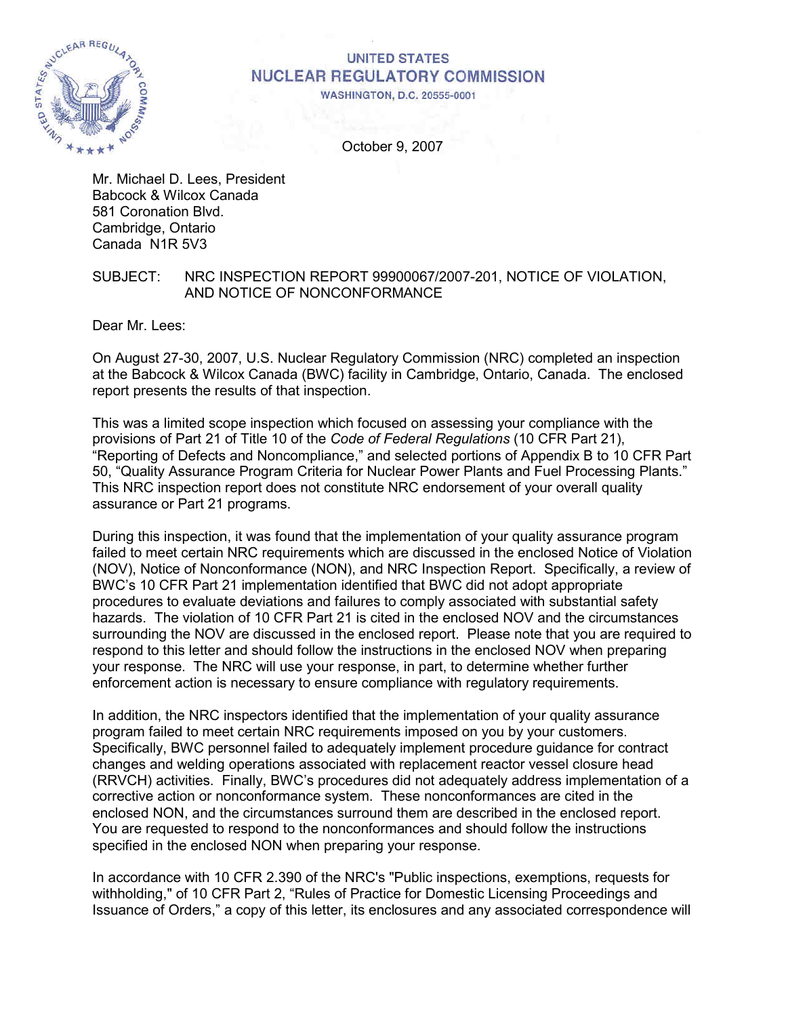

# **UNITED STATES NUCLEAR REGULATORY COMMISSION**

**WASHINGTON, D.C. 20555-0001** 

October 9, 2007

Mr. Michael D. Lees, President Babcock & Wilcox Canada 581 Coronation Blvd. Cambridge, Ontario Canada N1R 5V3

# SUBJECT: NRC INSPECTION REPORT 99900067/2007-201, NOTICE OF VIOLATION, AND NOTICE OF NONCONFORMANCE

Dear Mr. Lees:

On August 27-30, 2007, U.S. Nuclear Regulatory Commission (NRC) completed an inspection at the Babcock & Wilcox Canada (BWC) facility in Cambridge, Ontario, Canada. The enclosed report presents the results of that inspection.

This was a limited scope inspection which focused on assessing your compliance with the provisions of Part 21 of Title 10 of the *Code of Federal Regulations* (10 CFR Part 21), "Reporting of Defects and Noncompliance," and selected portions of Appendix B to 10 CFR Part 50, "Quality Assurance Program Criteria for Nuclear Power Plants and Fuel Processing Plants." This NRC inspection report does not constitute NRC endorsement of your overall quality assurance or Part 21 programs.

During this inspection, it was found that the implementation of your quality assurance program failed to meet certain NRC requirements which are discussed in the enclosed Notice of Violation (NOV), Notice of Nonconformance (NON), and NRC Inspection Report. Specifically, a review of BWC's 10 CFR Part 21 implementation identified that BWC did not adopt appropriate procedures to evaluate deviations and failures to comply associated with substantial safety hazards. The violation of 10 CFR Part 21 is cited in the enclosed NOV and the circumstances surrounding the NOV are discussed in the enclosed report. Please note that you are required to respond to this letter and should follow the instructions in the enclosed NOV when preparing your response. The NRC will use your response, in part, to determine whether further enforcement action is necessary to ensure compliance with regulatory requirements.

In addition, the NRC inspectors identified that the implementation of your quality assurance program failed to meet certain NRC requirements imposed on you by your customers. Specifically, BWC personnel failed to adequately implement procedure guidance for contract changes and welding operations associated with replacement reactor vessel closure head (RRVCH) activities. Finally, BWC's procedures did not adequately address implementation of a corrective action or nonconformance system. These nonconformances are cited in the enclosed NON, and the circumstances surround them are described in the enclosed report. You are requested to respond to the nonconformances and should follow the instructions specified in the enclosed NON when preparing your response.

In accordance with 10 CFR 2.390 of the NRC's "Public inspections, exemptions, requests for withholding," of 10 CFR Part 2, "Rules of Practice for Domestic Licensing Proceedings and Issuance of Orders," a copy of this letter, its enclosures and any associated correspondence will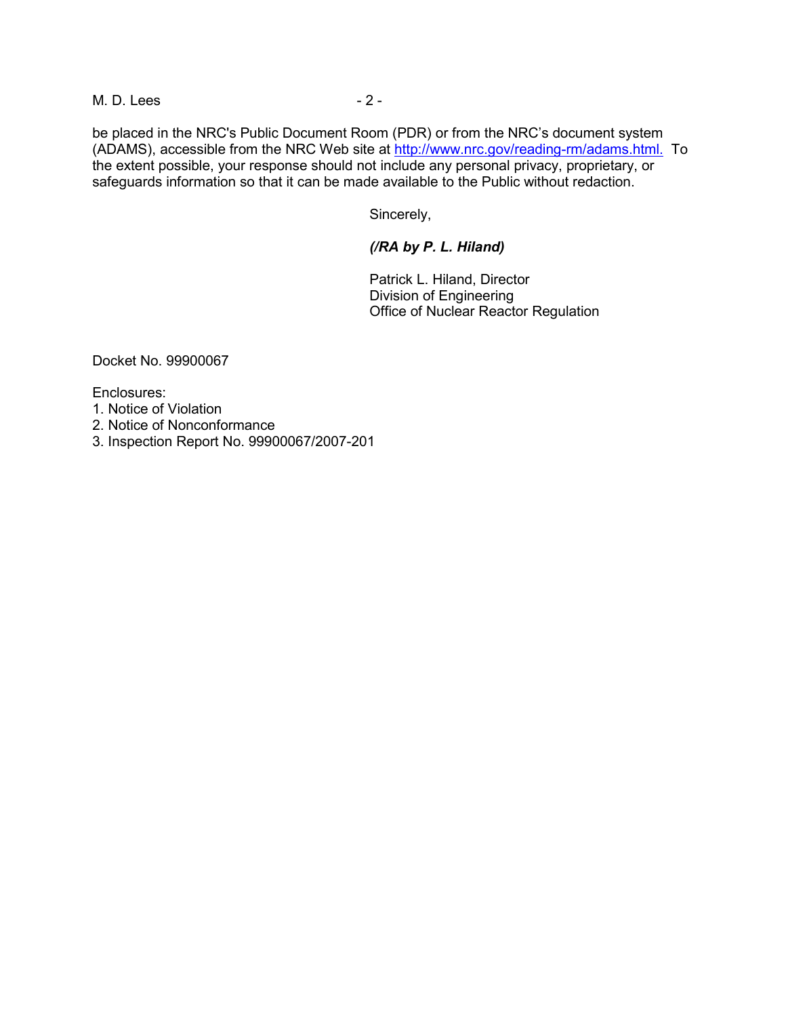M. D. Lees - 2 -

be placed in the NRC's Public Document Room (PDR) or from the NRC's document system (ADAMS), accessible from the NRC Web site at http://www.nrc.gov/reading-rm/adams.html. To the extent possible, your response should not include any personal privacy, proprietary, or safeguards information so that it can be made available to the Public without redaction.

Sincerely,

# *(/RA by P. L. Hiland)*

Patrick L. Hiland, Director Division of Engineering Office of Nuclear Reactor Regulation

Docket No. 99900067

Enclosures:

- 1. Notice of Violation
- 2. Notice of Nonconformance
- 3. Inspection Report No. 99900067/2007-201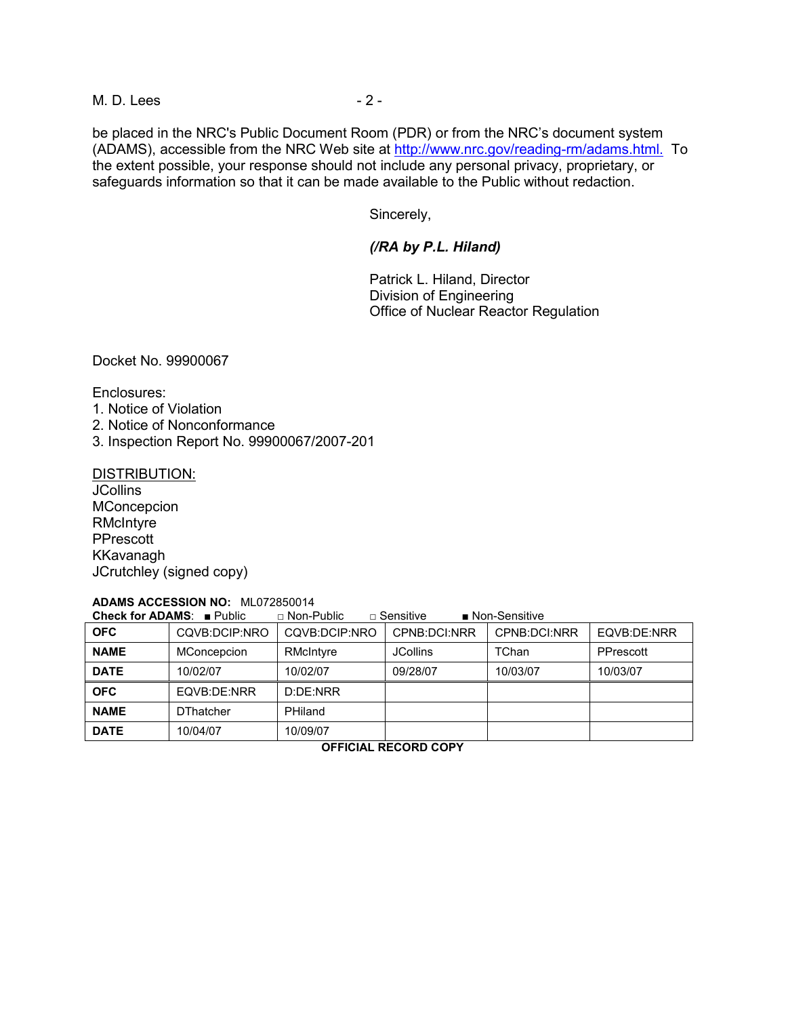M. D. Lees - 2 -

be placed in the NRC's Public Document Room (PDR) or from the NRC's document system (ADAMS), accessible from the NRC Web site at http://www.nrc.gov/reading-rm/adams.html. To the extent possible, your response should not include any personal privacy, proprietary, or safeguards information so that it can be made available to the Public without redaction.

Sincerely,

# *(/RA by P.L. Hiland)*

Patrick L. Hiland, Director Division of Engineering Office of Nuclear Reactor Regulation

Docket No. 99900067

Enclosures:

- 1. Notice of Violation
- 2. Notice of Nonconformance
- 3. Inspection Report No. 99900067/2007-201

DISTRIBUTION:

**JCollins MConcepcion RMcIntyre** PPrescott KKavanagh JCrutchley (signed copy)

# **ADAMS ACCESSION NO:** ML072850014

**Check for ADAMS**: ■ Public □ Non-Public □ Sensitive ■ Non-Sensitive

| <b>OFC</b>  | CQVB:DCIP:NRO    | COVB:DCIP:NRO | CPNB:DCI:NRR    | CPNB:DCI:NRR | EQVB:DE:NRR |
|-------------|------------------|---------------|-----------------|--------------|-------------|
| <b>NAME</b> | MConcepcion      | RMcIntyre     | <b>JCollins</b> | TChan        | PPrescott   |
| <b>DATE</b> | 10/02/07         | 10/02/07      | 09/28/07        | 10/03/07     | 10/03/07    |
| <b>OFC</b>  | EQVB:DE:NRR      | D:DF: NRR     |                 |              |             |
| <b>NAME</b> | <b>DThatcher</b> | PHiland       |                 |              |             |
| <b>DATE</b> | 10/04/07         | 10/09/07      |                 |              |             |

**OFFICIAL RECORD COPY**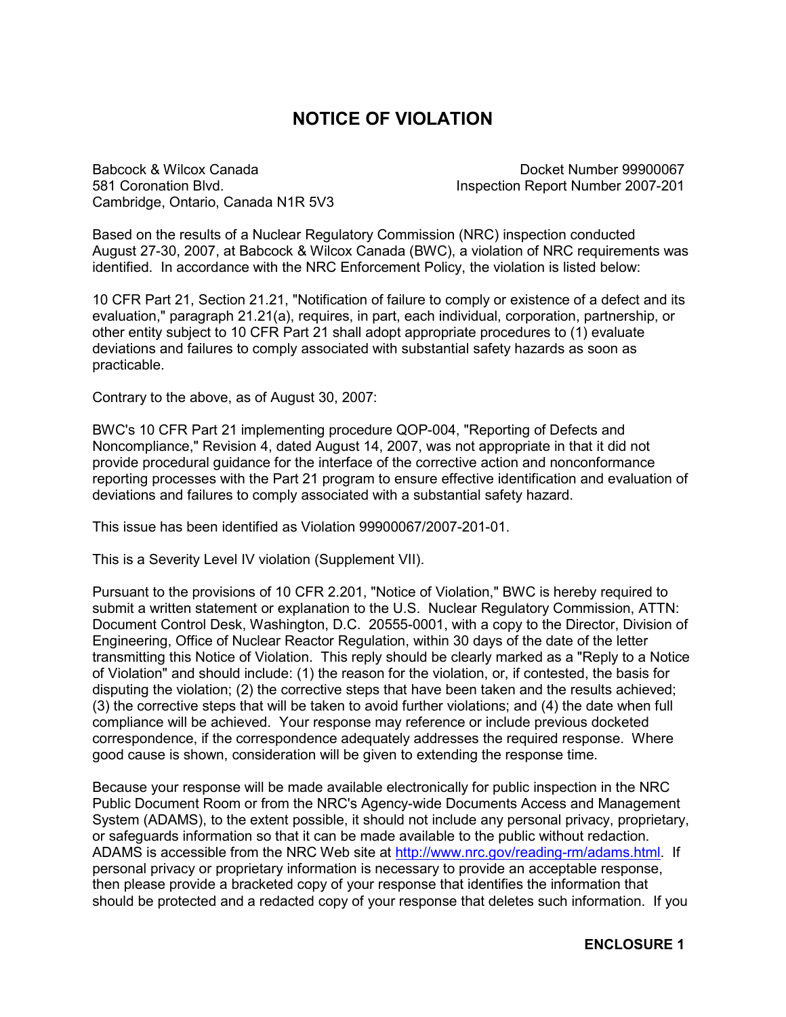# **NOTICE OF VIOLATION**

Babcock & Wilcox Canada Docket Number 99900067 581 Coronation Blvd. Inspection Report Number 2007-201 Cambridge, Ontario, Canada N1R 5V3

Based on the results of a Nuclear Regulatory Commission (NRC) inspection conducted August 27-30, 2007, at Babcock & Wilcox Canada (BWC), a violation of NRC requirements was identified. In accordance with the NRC Enforcement Policy, the violation is listed below:

10 CFR Part 21, Section 21.21, "Notification of failure to comply or existence of a defect and its evaluation," paragraph 21.21(a), requires, in part, each individual, corporation, partnership, or other entity subject to 10 CFR Part 21 shall adopt appropriate procedures to (1) evaluate deviations and failures to comply associated with substantial safety hazards as soon as practicable.

Contrary to the above, as of August 30, 2007:

BWC's 10 CFR Part 21 implementing procedure QOP-004, "Reporting of Defects and Noncompliance," Revision 4, dated August 14, 2007, was not appropriate in that it did not provide procedural guidance for the interface of the corrective action and nonconformance reporting processes with the Part 21 program to ensure effective identification and evaluation of deviations and failures to comply associated with a substantial safety hazard.

This issue has been identified as Violation 99900067/2007-201-01.

This is a Severity Level IV violation (Supplement VII).

Pursuant to the provisions of 10 CFR 2.201, "Notice of Violation," BWC is hereby required to submit a written statement or explanation to the U.S. Nuclear Regulatory Commission, ATTN: Document Control Desk, Washington, D.C. 20555-0001, with a copy to the Director, Division of Engineering, Office of Nuclear Reactor Regulation, within 30 days of the date of the letter transmitting this Notice of Violation. This reply should be clearly marked as a "Reply to a Notice of Violation" and should include: (1) the reason for the violation, or, if contested, the basis for disputing the violation; (2) the corrective steps that have been taken and the results achieved; (3) the corrective steps that will be taken to avoid further violations; and (4) the date when full compliance will be achieved. Your response may reference or include previous docketed correspondence, if the correspondence adequately addresses the required response. Where good cause is shown, consideration will be given to extending the response time.

Because your response will be made available electronically for public inspection in the NRC Public Document Room or from the NRC's Agency-wide Documents Access and Management System (ADAMS), to the extent possible, it should not include any personal privacy, proprietary, or safeguards information so that it can be made available to the public without redaction. ADAMS is accessible from the NRC Web site at http://www.nrc.gov/reading-rm/adams.html. If personal privacy or proprietary information is necessary to provide an acceptable response, then please provide a bracketed copy of your response that identifies the information that should be protected and a redacted copy of your response that deletes such information. If you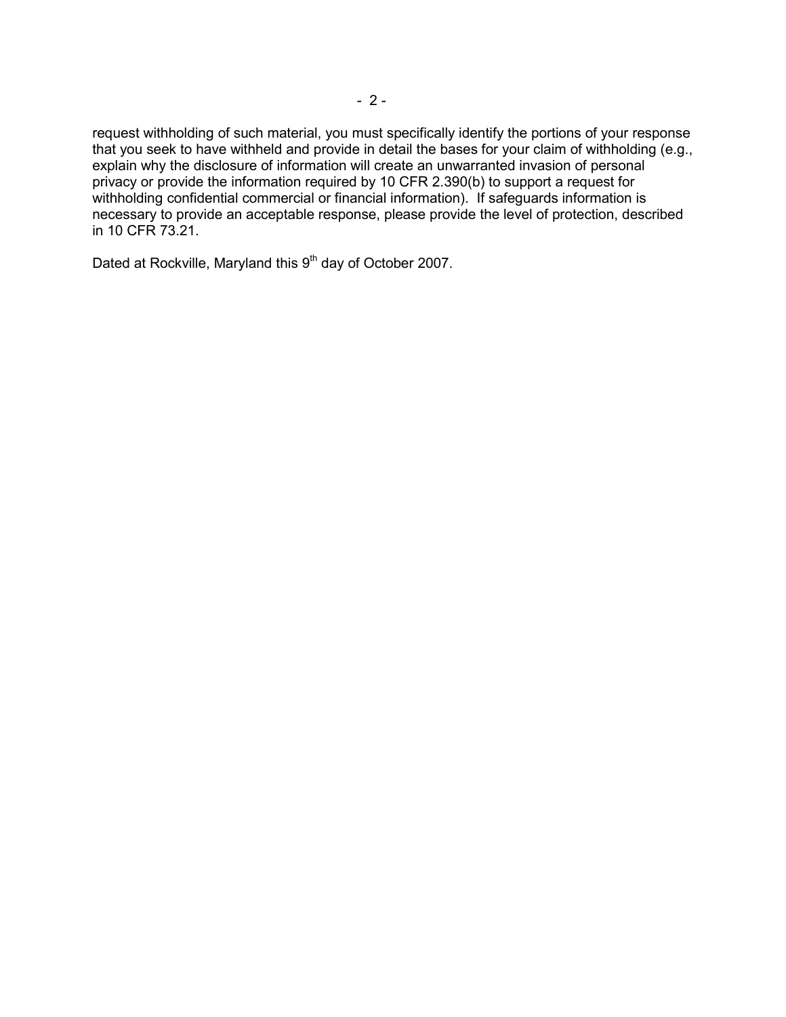request withholding of such material, you must specifically identify the portions of your response that you seek to have withheld and provide in detail the bases for your claim of withholding (e.g., explain why the disclosure of information will create an unwarranted invasion of personal privacy or provide the information required by 10 CFR 2.390(b) to support a request for withholding confidential commercial or financial information). If safeguards information is necessary to provide an acceptable response, please provide the level of protection, described in 10 CFR 73.21.

Dated at Rockville, Maryland this 9<sup>th</sup> day of October 2007.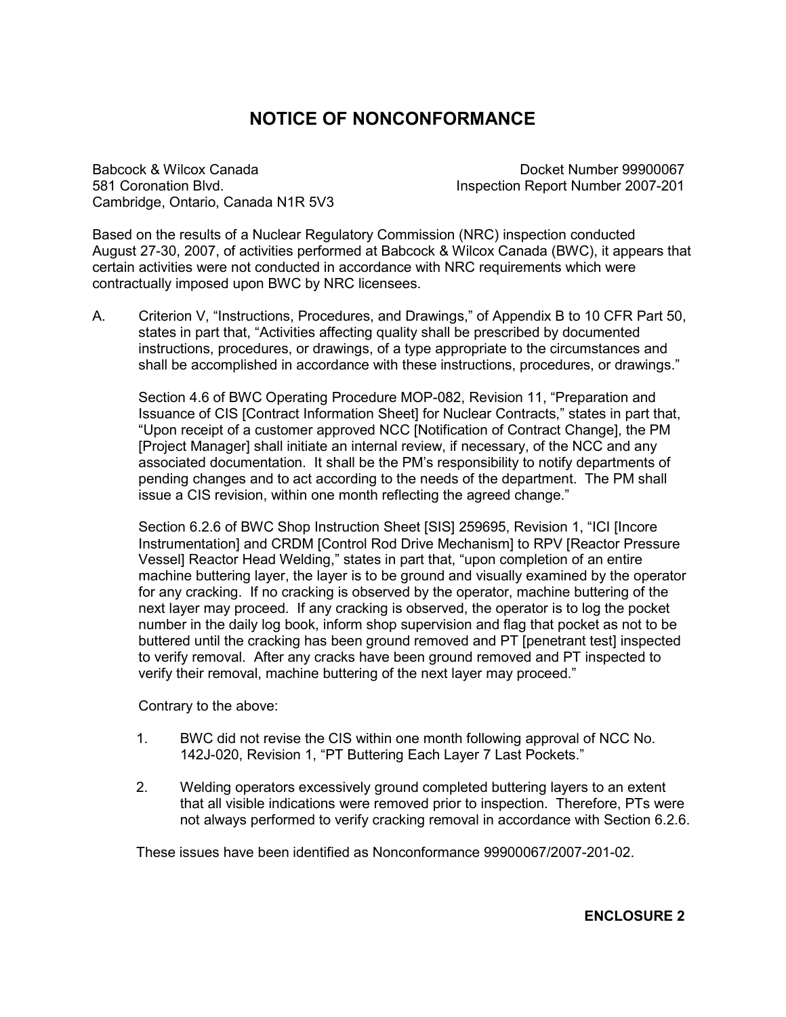# **NOTICE OF NONCONFORMANCE**

Babcock & Wilcox Canada Docket Number 99900067 581 Coronation Blvd. Inspection Report Number 2007-201 Cambridge, Ontario, Canada N1R 5V3

Based on the results of a Nuclear Regulatory Commission (NRC) inspection conducted August 27-30, 2007, of activities performed at Babcock & Wilcox Canada (BWC), it appears that certain activities were not conducted in accordance with NRC requirements which were contractually imposed upon BWC by NRC licensees.

A. Criterion V, "Instructions, Procedures, and Drawings," of Appendix B to 10 CFR Part 50, states in part that, "Activities affecting quality shall be prescribed by documented instructions, procedures, or drawings, of a type appropriate to the circumstances and shall be accomplished in accordance with these instructions, procedures, or drawings."

Section 4.6 of BWC Operating Procedure MOP-082, Revision 11, "Preparation and Issuance of CIS [Contract Information Sheet] for Nuclear Contracts," states in part that, "Upon receipt of a customer approved NCC [Notification of Contract Change], the PM [Project Manager] shall initiate an internal review, if necessary, of the NCC and any associated documentation. It shall be the PM's responsibility to notify departments of pending changes and to act according to the needs of the department. The PM shall issue a CIS revision, within one month reflecting the agreed change."

Section 6.2.6 of BWC Shop Instruction Sheet [SIS] 259695, Revision 1, "ICI [Incore Instrumentation] and CRDM [Control Rod Drive Mechanism] to RPV [Reactor Pressure Vessel] Reactor Head Welding," states in part that, "upon completion of an entire machine buttering layer, the layer is to be ground and visually examined by the operator for any cracking. If no cracking is observed by the operator, machine buttering of the next layer may proceed. If any cracking is observed, the operator is to log the pocket number in the daily log book, inform shop supervision and flag that pocket as not to be buttered until the cracking has been ground removed and PT [penetrant test] inspected to verify removal. After any cracks have been ground removed and PT inspected to verify their removal, machine buttering of the next layer may proceed."

Contrary to the above:

- 1. BWC did not revise the CIS within one month following approval of NCC No. 142J-020, Revision 1, "PT Buttering Each Layer 7 Last Pockets."
- 2. Welding operators excessively ground completed buttering layers to an extent that all visible indications were removed prior to inspection. Therefore, PTs were not always performed to verify cracking removal in accordance with Section 6.2.6.

These issues have been identified as Nonconformance 99900067/2007-201-02.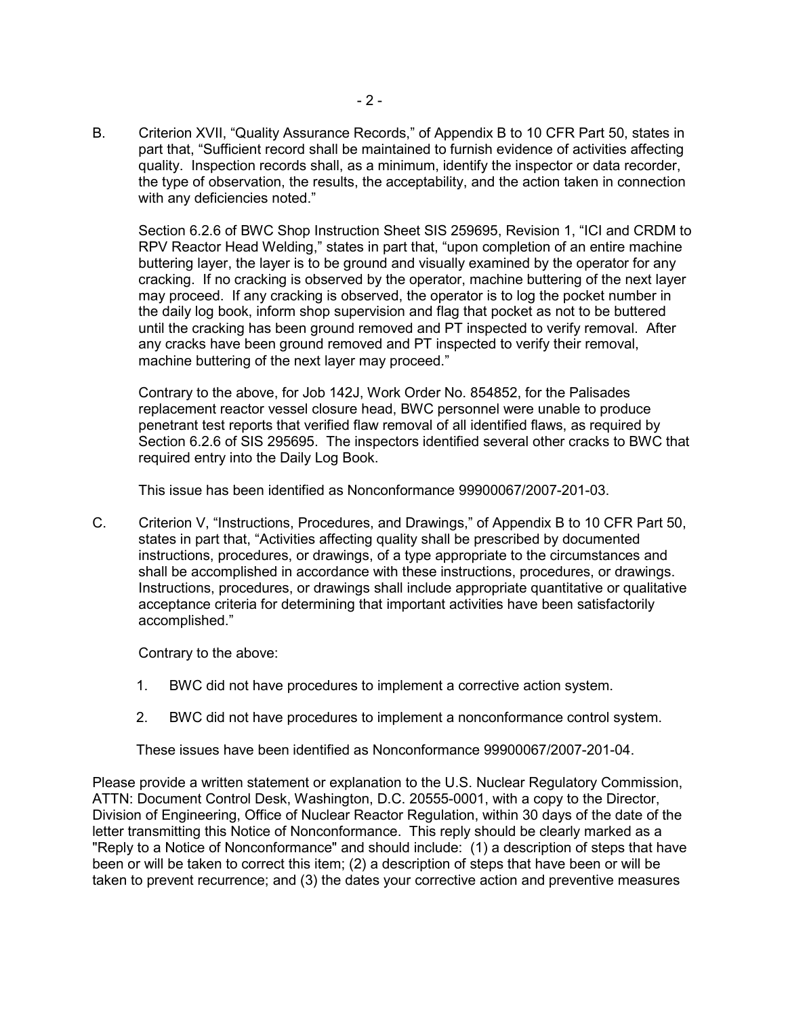B. Criterion XVII, "Quality Assurance Records," of Appendix B to 10 CFR Part 50, states in part that, "Sufficient record shall be maintained to furnish evidence of activities affecting quality. Inspection records shall, as a minimum, identify the inspector or data recorder, the type of observation, the results, the acceptability, and the action taken in connection with any deficiencies noted."

Section 6.2.6 of BWC Shop Instruction Sheet SIS 259695, Revision 1, "ICI and CRDM to RPV Reactor Head Welding," states in part that, "upon completion of an entire machine buttering layer, the layer is to be ground and visually examined by the operator for any cracking. If no cracking is observed by the operator, machine buttering of the next layer may proceed. If any cracking is observed, the operator is to log the pocket number in the daily log book, inform shop supervision and flag that pocket as not to be buttered until the cracking has been ground removed and PT inspected to verify removal. After any cracks have been ground removed and PT inspected to verify their removal, machine buttering of the next layer may proceed."

Contrary to the above, for Job 142J, Work Order No. 854852, for the Palisades replacement reactor vessel closure head, BWC personnel were unable to produce penetrant test reports that verified flaw removal of all identified flaws, as required by Section 6.2.6 of SIS 295695. The inspectors identified several other cracks to BWC that required entry into the Daily Log Book.

This issue has been identified as Nonconformance 99900067/2007-201-03.

C. Criterion V, "Instructions, Procedures, and Drawings," of Appendix B to 10 CFR Part 50, states in part that, "Activities affecting quality shall be prescribed by documented instructions, procedures, or drawings, of a type appropriate to the circumstances and shall be accomplished in accordance with these instructions, procedures, or drawings. Instructions, procedures, or drawings shall include appropriate quantitative or qualitative acceptance criteria for determining that important activities have been satisfactorily accomplished."

Contrary to the above:

- 1. BWC did not have procedures to implement a corrective action system.
- 2. BWC did not have procedures to implement a nonconformance control system.

These issues have been identified as Nonconformance 99900067/2007-201-04.

Please provide a written statement or explanation to the U.S. Nuclear Regulatory Commission, ATTN: Document Control Desk, Washington, D.C. 20555-0001, with a copy to the Director, Division of Engineering, Office of Nuclear Reactor Regulation, within 30 days of the date of the letter transmitting this Notice of Nonconformance. This reply should be clearly marked as a "Reply to a Notice of Nonconformance" and should include: (1) a description of steps that have been or will be taken to correct this item; (2) a description of steps that have been or will be taken to prevent recurrence; and (3) the dates your corrective action and preventive measures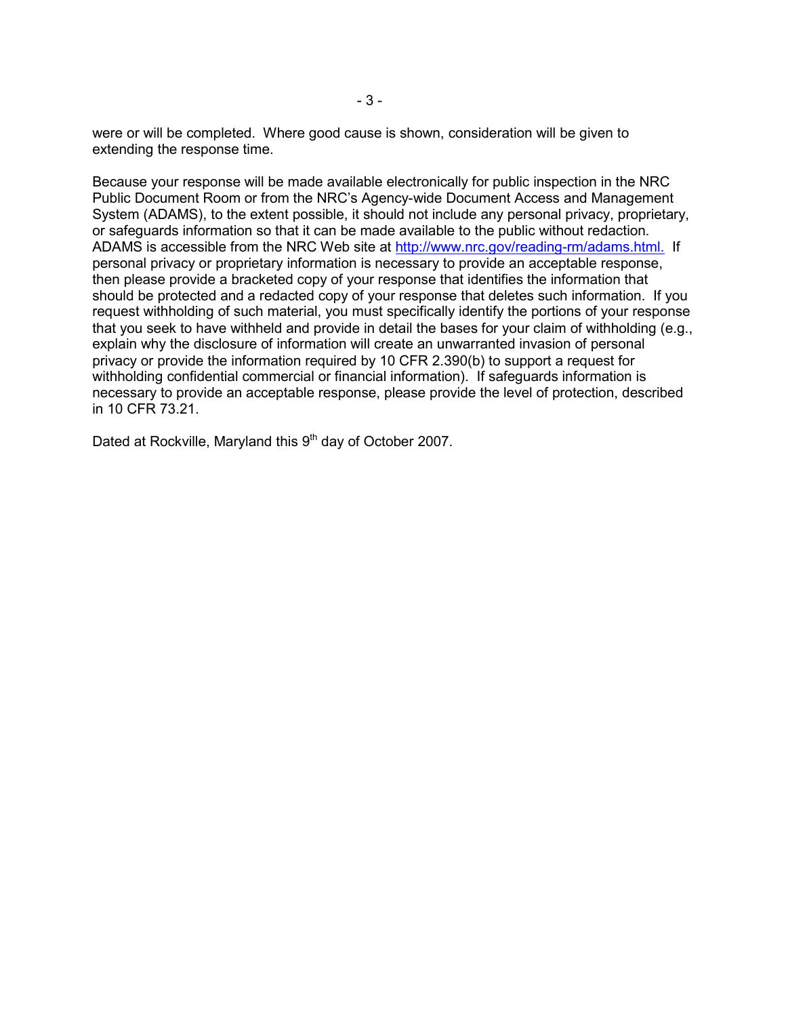were or will be completed. Where good cause is shown, consideration will be given to extending the response time.

Because your response will be made available electronically for public inspection in the NRC Public Document Room or from the NRC's Agency-wide Document Access and Management System (ADAMS), to the extent possible, it should not include any personal privacy, proprietary, or safeguards information so that it can be made available to the public without redaction. ADAMS is accessible from the NRC Web site at http://www.nrc.gov/reading-rm/adams.html. If personal privacy or proprietary information is necessary to provide an acceptable response, then please provide a bracketed copy of your response that identifies the information that should be protected and a redacted copy of your response that deletes such information. If you request withholding of such material, you must specifically identify the portions of your response that you seek to have withheld and provide in detail the bases for your claim of withholding (e.g., explain why the disclosure of information will create an unwarranted invasion of personal privacy or provide the information required by 10 CFR 2.390(b) to support a request for withholding confidential commercial or financial information). If safeguards information is necessary to provide an acceptable response, please provide the level of protection, described in 10 CFR 73.21.

Dated at Rockville, Maryland this 9<sup>th</sup> day of October 2007.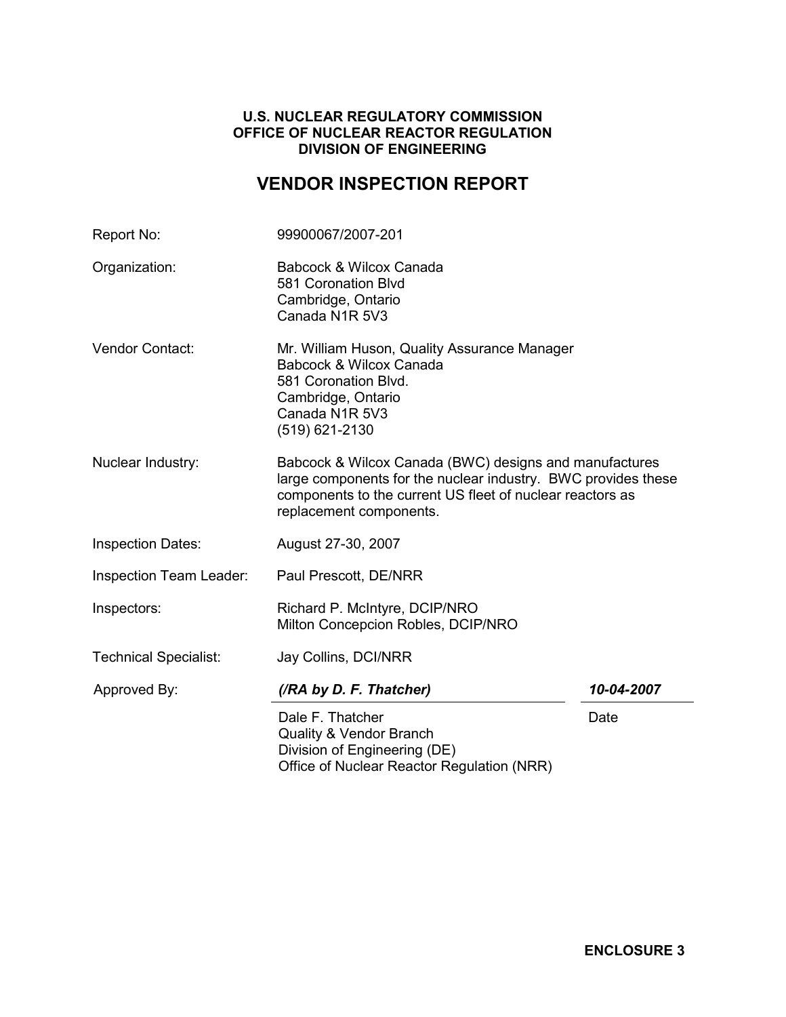# **U.S. NUCLEAR REGULATORY COMMISSION OFFICE OF NUCLEAR REACTOR REGULATION DIVISION OF ENGINEERING**

# **VENDOR INSPECTION REPORT**

| Report No:                                                                                                                                                                                                                           | 99900067/2007-201                                                                                                                                         |            |  |
|--------------------------------------------------------------------------------------------------------------------------------------------------------------------------------------------------------------------------------------|-----------------------------------------------------------------------------------------------------------------------------------------------------------|------------|--|
| Organization:                                                                                                                                                                                                                        | Babcock & Wilcox Canada<br>581 Coronation Blvd<br>Cambridge, Ontario<br>Canada N1R 5V3                                                                    |            |  |
| Vendor Contact:                                                                                                                                                                                                                      | Mr. William Huson, Quality Assurance Manager<br>Babcock & Wilcox Canada<br>581 Coronation Blvd.<br>Cambridge, Ontario<br>Canada N1R 5V3<br>(519) 621-2130 |            |  |
| Nuclear Industry:<br>Babcock & Wilcox Canada (BWC) designs and manufactures<br>large components for the nuclear industry. BWC provides these<br>components to the current US fleet of nuclear reactors as<br>replacement components. |                                                                                                                                                           |            |  |
| <b>Inspection Dates:</b>                                                                                                                                                                                                             | August 27-30, 2007                                                                                                                                        |            |  |
| <b>Inspection Team Leader:</b>                                                                                                                                                                                                       | Paul Prescott, DE/NRR                                                                                                                                     |            |  |
| Inspectors:                                                                                                                                                                                                                          | Richard P. McIntyre, DCIP/NRO<br>Milton Concepcion Robles, DCIP/NRO                                                                                       |            |  |
| <b>Technical Specialist:</b>                                                                                                                                                                                                         | Jay Collins, DCI/NRR                                                                                                                                      |            |  |
| Approved By:                                                                                                                                                                                                                         | (/RA by D. F. Thatcher)                                                                                                                                   | 10-04-2007 |  |
|                                                                                                                                                                                                                                      | Dale F. Thatcher<br><b>Quality &amp; Vendor Branch</b><br>Division of Engineering (DE)<br>Office of Nuclear Reactor Regulation (NRR)                      | Date       |  |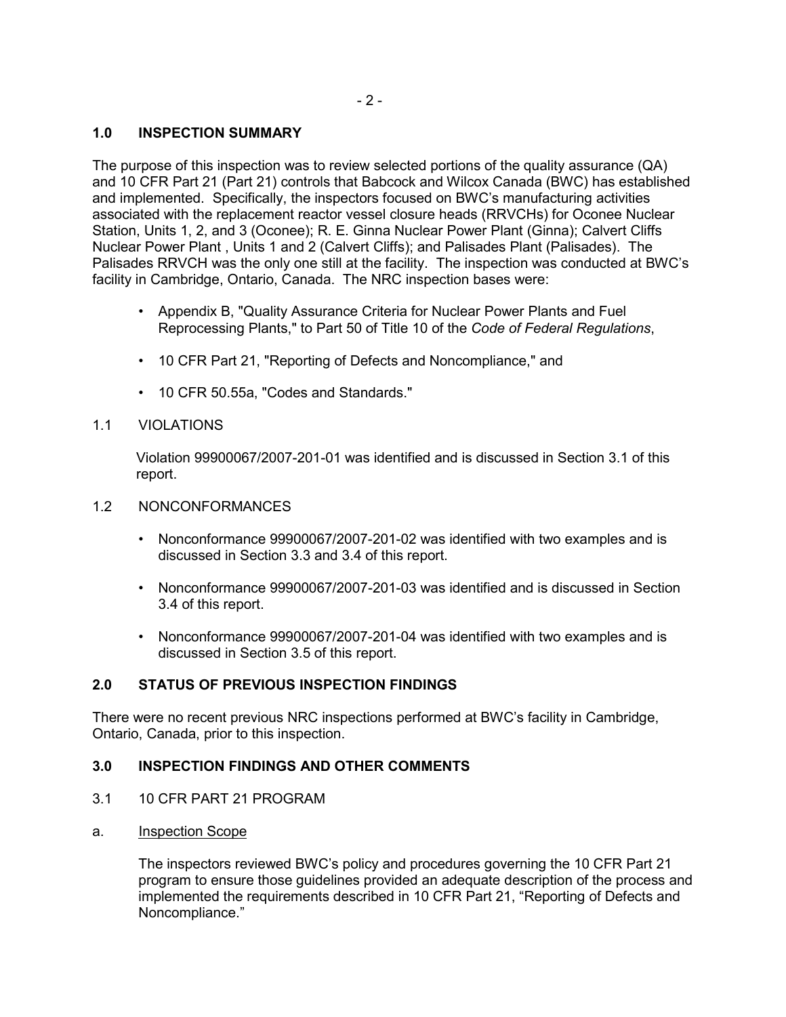# **1.0 INSPECTION SUMMARY**

The purpose of this inspection was to review selected portions of the quality assurance (QA) and 10 CFR Part 21 (Part 21) controls that Babcock and Wilcox Canada (BWC) has established and implemented. Specifically, the inspectors focused on BWC's manufacturing activities associated with the replacement reactor vessel closure heads (RRVCHs) for Oconee Nuclear Station, Units 1, 2, and 3 (Oconee); R. E. Ginna Nuclear Power Plant (Ginna); Calvert Cliffs Nuclear Power Plant , Units 1 and 2 (Calvert Cliffs); and Palisades Plant (Palisades). The Palisades RRVCH was the only one still at the facility. The inspection was conducted at BWC's facility in Cambridge, Ontario, Canada. The NRC inspection bases were:

- Appendix B, "Quality Assurance Criteria for Nuclear Power Plants and Fuel Reprocessing Plants," to Part 50 of Title 10 of the *Code of Federal Regulations*,
- 10 CFR Part 21, "Reporting of Defects and Noncompliance," and
- 10 CFR 50.55a, "Codes and Standards."

# 1.1 VIOLATIONS

Violation 99900067/2007-201-01 was identified and is discussed in Section 3.1 of this report.

# 1.2 NONCONFORMANCES

- Nonconformance 99900067/2007-201-02 was identified with two examples and is discussed in Section 3.3 and 3.4 of this report.
- Nonconformance 99900067/2007-201-03 was identified and is discussed in Section 3.4 of this report.
- Nonconformance 99900067/2007-201-04 was identified with two examples and is discussed in Section 3.5 of this report.

# **2.0 STATUS OF PREVIOUS INSPECTION FINDINGS**

There were no recent previous NRC inspections performed at BWC's facility in Cambridge, Ontario, Canada, prior to this inspection.

# **3.0 INSPECTION FINDINGS AND OTHER COMMENTS**

# 3.1 10 CFR PART 21 PROGRAM

a. Inspection Scope

The inspectors reviewed BWC's policy and procedures governing the 10 CFR Part 21 program to ensure those guidelines provided an adequate description of the process and implemented the requirements described in 10 CFR Part 21, "Reporting of Defects and Noncompliance."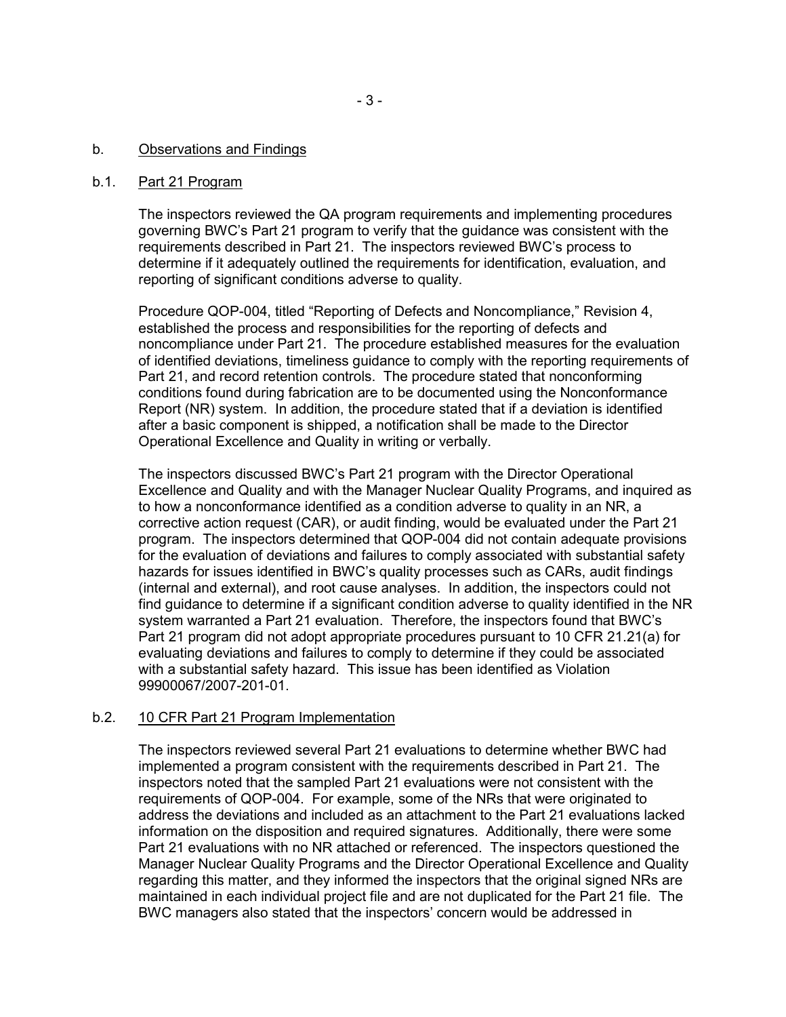### b. Observations and Findings

#### b.1. Part 21 Program

The inspectors reviewed the QA program requirements and implementing procedures governing BWC's Part 21 program to verify that the guidance was consistent with the requirements described in Part 21. The inspectors reviewed BWC's process to determine if it adequately outlined the requirements for identification, evaluation, and reporting of significant conditions adverse to quality.

Procedure QOP-004, titled "Reporting of Defects and Noncompliance," Revision 4, established the process and responsibilities for the reporting of defects and noncompliance under Part 21. The procedure established measures for the evaluation of identified deviations, timeliness guidance to comply with the reporting requirements of Part 21, and record retention controls. The procedure stated that nonconforming conditions found during fabrication are to be documented using the Nonconformance Report (NR) system. In addition, the procedure stated that if a deviation is identified after a basic component is shipped, a notification shall be made to the Director Operational Excellence and Quality in writing or verbally.

The inspectors discussed BWC's Part 21 program with the Director Operational Excellence and Quality and with the Manager Nuclear Quality Programs, and inquired as to how a nonconformance identified as a condition adverse to quality in an NR, a corrective action request (CAR), or audit finding, would be evaluated under the Part 21 program. The inspectors determined that QOP-004 did not contain adequate provisions for the evaluation of deviations and failures to comply associated with substantial safety hazards for issues identified in BWC's quality processes such as CARs, audit findings (internal and external), and root cause analyses. In addition, the inspectors could not find guidance to determine if a significant condition adverse to quality identified in the NR system warranted a Part 21 evaluation. Therefore, the inspectors found that BWC's Part 21 program did not adopt appropriate procedures pursuant to 10 CFR 21.21(a) for evaluating deviations and failures to comply to determine if they could be associated with a substantial safety hazard. This issue has been identified as Violation 99900067/2007-201-01.

## b.2. 10 CFR Part 21 Program Implementation

The inspectors reviewed several Part 21 evaluations to determine whether BWC had implemented a program consistent with the requirements described in Part 21. The inspectors noted that the sampled Part 21 evaluations were not consistent with the requirements of QOP-004. For example, some of the NRs that were originated to address the deviations and included as an attachment to the Part 21 evaluations lacked information on the disposition and required signatures. Additionally, there were some Part 21 evaluations with no NR attached or referenced. The inspectors questioned the Manager Nuclear Quality Programs and the Director Operational Excellence and Quality regarding this matter, and they informed the inspectors that the original signed NRs are maintained in each individual project file and are not duplicated for the Part 21 file. The BWC managers also stated that the inspectors' concern would be addressed in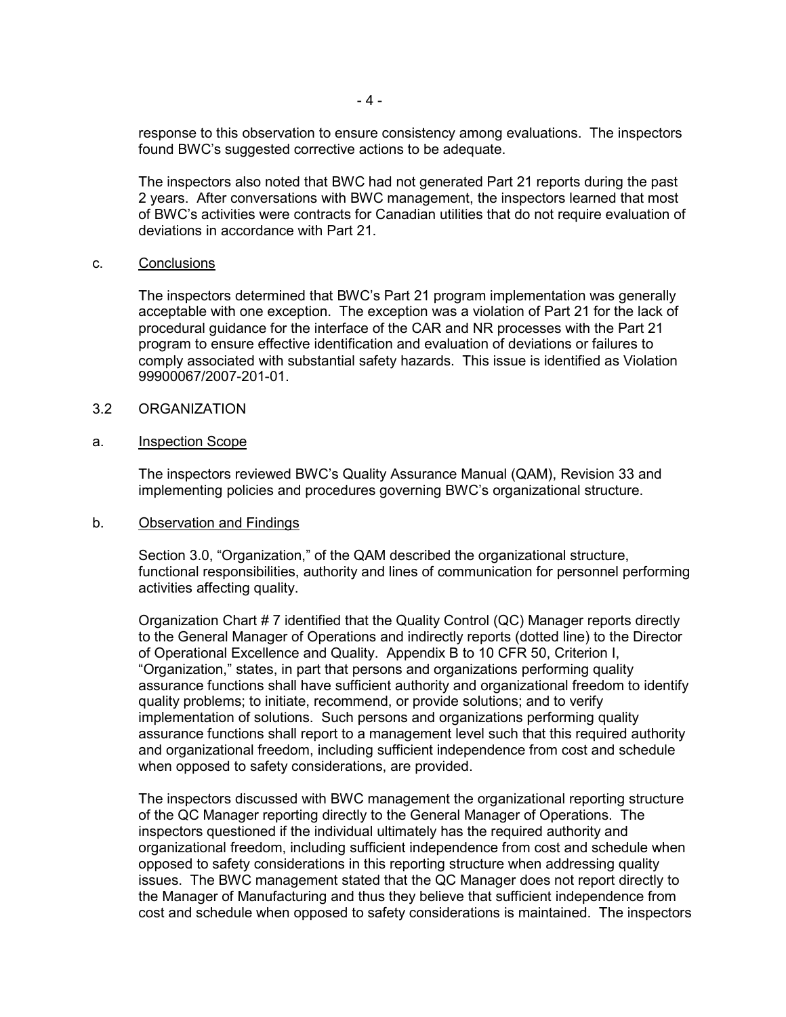response to this observation to ensure consistency among evaluations. The inspectors found BWC's suggested corrective actions to be adequate.

The inspectors also noted that BWC had not generated Part 21 reports during the past 2 years. After conversations with BWC management, the inspectors learned that most of BWC's activities were contracts for Canadian utilities that do not require evaluation of deviations in accordance with Part 21.

#### c. Conclusions

The inspectors determined that BWC's Part 21 program implementation was generally acceptable with one exception. The exception was a violation of Part 21 for the lack of procedural guidance for the interface of the CAR and NR processes with the Part 21 program to ensure effective identification and evaluation of deviations or failures to comply associated with substantial safety hazards. This issue is identified as Violation 99900067/2007-201-01.

#### 3.2 ORGANIZATION

#### a. Inspection Scope

The inspectors reviewed BWC's Quality Assurance Manual (QAM), Revision 33 and implementing policies and procedures governing BWC's organizational structure.

#### b. Observation and Findings

Section 3.0, "Organization," of the QAM described the organizational structure, functional responsibilities, authority and lines of communication for personnel performing activities affecting quality.

Organization Chart # 7 identified that the Quality Control (QC) Manager reports directly to the General Manager of Operations and indirectly reports (dotted line) to the Director of Operational Excellence and Quality. Appendix B to 10 CFR 50, Criterion I, "Organization," states, in part that persons and organizations performing quality assurance functions shall have sufficient authority and organizational freedom to identify quality problems; to initiate, recommend, or provide solutions; and to verify implementation of solutions. Such persons and organizations performing quality assurance functions shall report to a management level such that this required authority and organizational freedom, including sufficient independence from cost and schedule when opposed to safety considerations, are provided.

The inspectors discussed with BWC management the organizational reporting structure of the QC Manager reporting directly to the General Manager of Operations. The inspectors questioned if the individual ultimately has the required authority and organizational freedom, including sufficient independence from cost and schedule when opposed to safety considerations in this reporting structure when addressing quality issues. The BWC management stated that the QC Manager does not report directly to the Manager of Manufacturing and thus they believe that sufficient independence from cost and schedule when opposed to safety considerations is maintained. The inspectors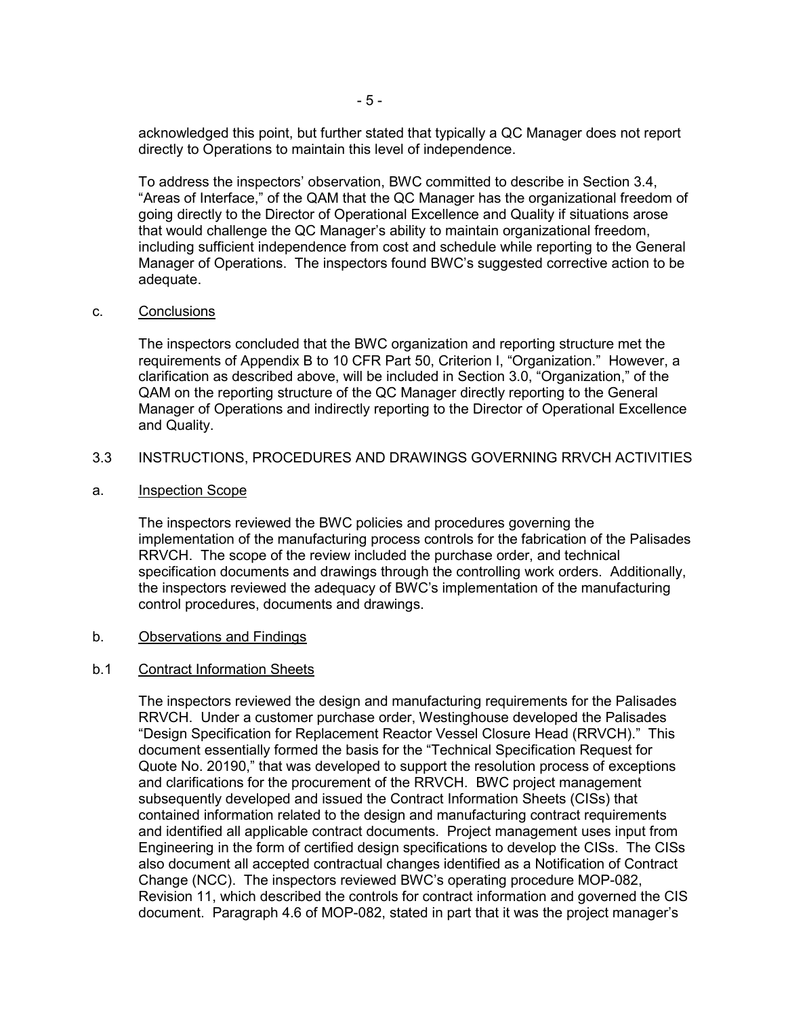acknowledged this point, but further stated that typically a QC Manager does not report directly to Operations to maintain this level of independence.

To address the inspectors' observation, BWC committed to describe in Section 3.4, "Areas of Interface," of the QAM that the QC Manager has the organizational freedom of going directly to the Director of Operational Excellence and Quality if situations arose that would challenge the QC Manager's ability to maintain organizational freedom, including sufficient independence from cost and schedule while reporting to the General Manager of Operations. The inspectors found BWC's suggested corrective action to be adequate.

#### c. Conclusions

The inspectors concluded that the BWC organization and reporting structure met the requirements of Appendix B to 10 CFR Part 50, Criterion I, "Organization." However, a clarification as described above, will be included in Section 3.0, "Organization," of the QAM on the reporting structure of the QC Manager directly reporting to the General Manager of Operations and indirectly reporting to the Director of Operational Excellence and Quality.

## 3.3 INSTRUCTIONS, PROCEDURES AND DRAWINGS GOVERNING RRVCH ACTIVITIES

a. Inspection Scope

The inspectors reviewed the BWC policies and procedures governing the implementation of the manufacturing process controls for the fabrication of the Palisades RRVCH. The scope of the review included the purchase order, and technical specification documents and drawings through the controlling work orders. Additionally, the inspectors reviewed the adequacy of BWC's implementation of the manufacturing control procedures, documents and drawings.

#### b. Observations and Findings

#### b.1 Contract Information Sheets

The inspectors reviewed the design and manufacturing requirements for the Palisades RRVCH. Under a customer purchase order, Westinghouse developed the Palisades "Design Specification for Replacement Reactor Vessel Closure Head (RRVCH)." This document essentially formed the basis for the "Technical Specification Request for Quote No. 20190," that was developed to support the resolution process of exceptions and clarifications for the procurement of the RRVCH. BWC project management subsequently developed and issued the Contract Information Sheets (CISs) that contained information related to the design and manufacturing contract requirements and identified all applicable contract documents. Project management uses input from Engineering in the form of certified design specifications to develop the CISs. The CISs also document all accepted contractual changes identified as a Notification of Contract Change (NCC). The inspectors reviewed BWC's operating procedure MOP-082, Revision 11, which described the controls for contract information and governed the CIS document. Paragraph 4.6 of MOP-082, stated in part that it was the project manager's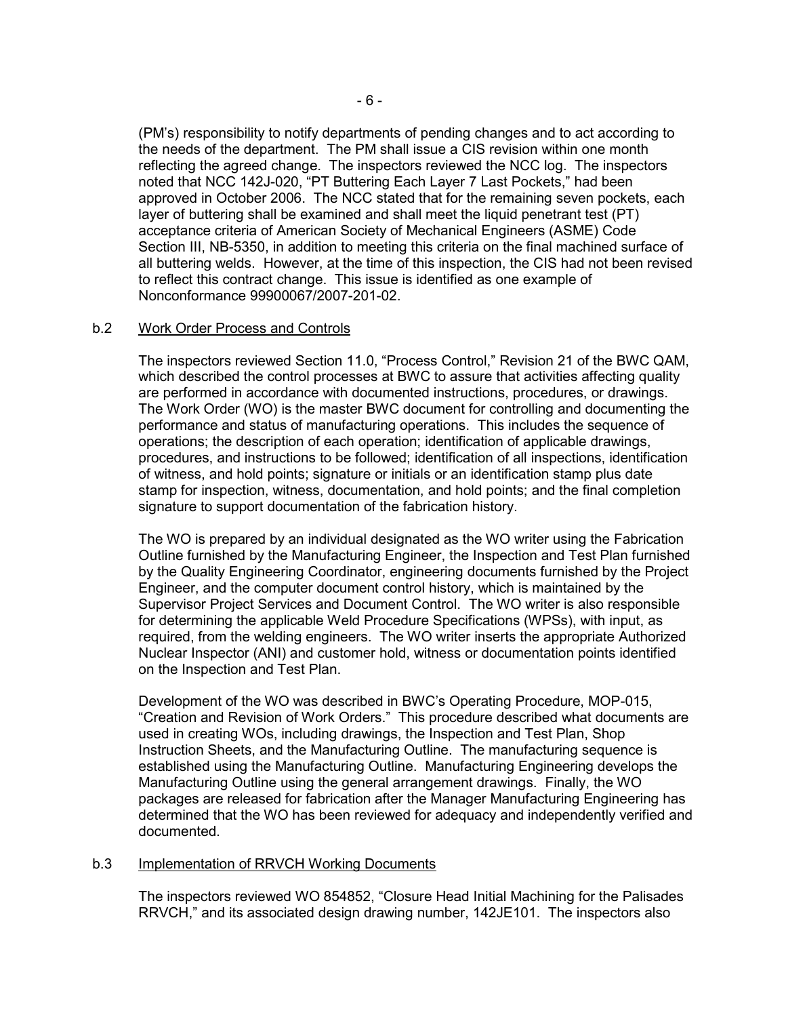(PM's) responsibility to notify departments of pending changes and to act according to the needs of the department. The PM shall issue a CIS revision within one month reflecting the agreed change. The inspectors reviewed the NCC log. The inspectors noted that NCC 142J-020, "PT Buttering Each Layer 7 Last Pockets," had been approved in October 2006. The NCC stated that for the remaining seven pockets, each layer of buttering shall be examined and shall meet the liquid penetrant test (PT) acceptance criteria of American Society of Mechanical Engineers (ASME) Code Section III, NB-5350, in addition to meeting this criteria on the final machined surface of all buttering welds. However, at the time of this inspection, the CIS had not been revised to reflect this contract change. This issue is identified as one example of Nonconformance 99900067/2007-201-02.

## b.2 Work Order Process and Controls

The inspectors reviewed Section 11.0, "Process Control," Revision 21 of the BWC QAM, which described the control processes at BWC to assure that activities affecting quality are performed in accordance with documented instructions, procedures, or drawings. The Work Order (WO) is the master BWC document for controlling and documenting the performance and status of manufacturing operations. This includes the sequence of operations; the description of each operation; identification of applicable drawings, procedures, and instructions to be followed; identification of all inspections, identification of witness, and hold points; signature or initials or an identification stamp plus date stamp for inspection, witness, documentation, and hold points; and the final completion signature to support documentation of the fabrication history.

The WO is prepared by an individual designated as the WO writer using the Fabrication Outline furnished by the Manufacturing Engineer, the Inspection and Test Plan furnished by the Quality Engineering Coordinator, engineering documents furnished by the Project Engineer, and the computer document control history, which is maintained by the Supervisor Project Services and Document Control. The WO writer is also responsible for determining the applicable Weld Procedure Specifications (WPSs), with input, as required, from the welding engineers. The WO writer inserts the appropriate Authorized Nuclear Inspector (ANI) and customer hold, witness or documentation points identified on the Inspection and Test Plan.

Development of the WO was described in BWC's Operating Procedure, MOP-015, "Creation and Revision of Work Orders." This procedure described what documents are used in creating WOs, including drawings, the Inspection and Test Plan, Shop Instruction Sheets, and the Manufacturing Outline. The manufacturing sequence is established using the Manufacturing Outline. Manufacturing Engineering develops the Manufacturing Outline using the general arrangement drawings. Finally, the WO packages are released for fabrication after the Manager Manufacturing Engineering has determined that the WO has been reviewed for adequacy and independently verified and documented.

## b.3 Implementation of RRVCH Working Documents

The inspectors reviewed WO 854852, "Closure Head Initial Machining for the Palisades RRVCH," and its associated design drawing number, 142JE101. The inspectors also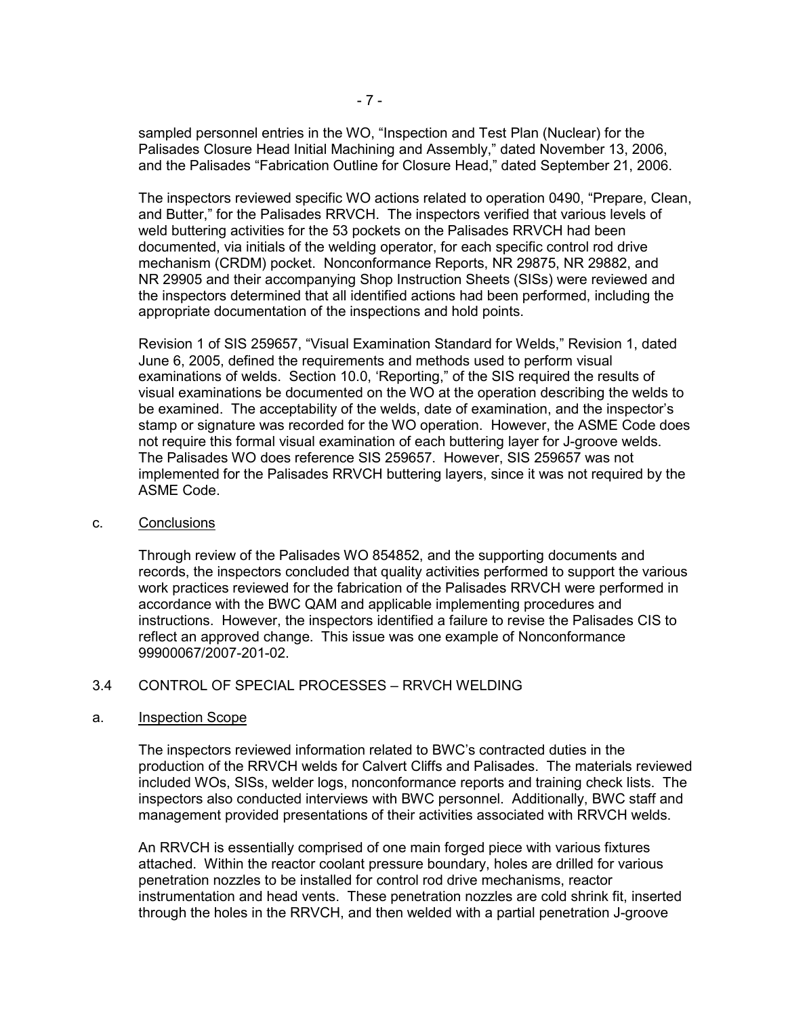sampled personnel entries in the WO, "Inspection and Test Plan (Nuclear) for the Palisades Closure Head Initial Machining and Assembly," dated November 13, 2006, and the Palisades "Fabrication Outline for Closure Head," dated September 21, 2006.

The inspectors reviewed specific WO actions related to operation 0490, "Prepare, Clean, and Butter," for the Palisades RRVCH. The inspectors verified that various levels of weld buttering activities for the 53 pockets on the Palisades RRVCH had been documented, via initials of the welding operator, for each specific control rod drive mechanism (CRDM) pocket. Nonconformance Reports, NR 29875, NR 29882, and NR 29905 and their accompanying Shop Instruction Sheets (SISs) were reviewed and the inspectors determined that all identified actions had been performed, including the appropriate documentation of the inspections and hold points.

Revision 1 of SIS 259657, "Visual Examination Standard for Welds," Revision 1, dated June 6, 2005, defined the requirements and methods used to perform visual examinations of welds. Section 10.0, 'Reporting," of the SIS required the results of visual examinations be documented on the WO at the operation describing the welds to be examined. The acceptability of the welds, date of examination, and the inspector's stamp or signature was recorded for the WO operation. However, the ASME Code does not require this formal visual examination of each buttering layer for J-groove welds. The Palisades WO does reference SIS 259657. However, SIS 259657 was not implemented for the Palisades RRVCH buttering layers, since it was not required by the ASME Code.

#### c. Conclusions

Through review of the Palisades WO 854852, and the supporting documents and records, the inspectors concluded that quality activities performed to support the various work practices reviewed for the fabrication of the Palisades RRVCH were performed in accordance with the BWC QAM and applicable implementing procedures and instructions. However, the inspectors identified a failure to revise the Palisades CIS to reflect an approved change. This issue was one example of Nonconformance 99900067/2007-201-02.

## 3.4 CONTROL OF SPECIAL PROCESSES – RRVCH WELDING

## a. Inspection Scope

The inspectors reviewed information related to BWC's contracted duties in the production of the RRVCH welds for Calvert Cliffs and Palisades. The materials reviewed included WOs, SISs, welder logs, nonconformance reports and training check lists. The inspectors also conducted interviews with BWC personnel. Additionally, BWC staff and management provided presentations of their activities associated with RRVCH welds.

An RRVCH is essentially comprised of one main forged piece with various fixtures attached. Within the reactor coolant pressure boundary, holes are drilled for various penetration nozzles to be installed for control rod drive mechanisms, reactor instrumentation and head vents. These penetration nozzles are cold shrink fit, inserted through the holes in the RRVCH, and then welded with a partial penetration J-groove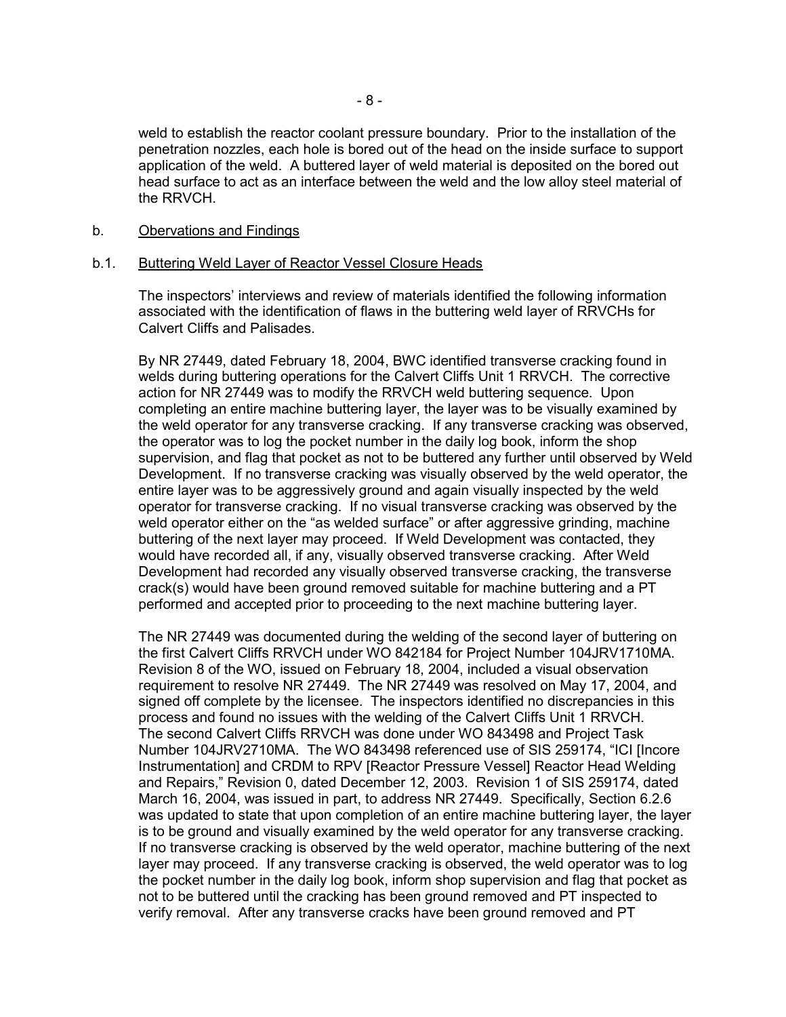weld to establish the reactor coolant pressure boundary. Prior to the installation of the penetration nozzles, each hole is bored out of the head on the inside surface to support application of the weld. A buttered layer of weld material is deposited on the bored out head surface to act as an interface between the weld and the low alloy steel material of the RRVCH.

#### b. Obervations and Findings

### b.1. Buttering Weld Layer of Reactor Vessel Closure Heads

The inspectors' interviews and review of materials identified the following information associated with the identification of flaws in the buttering weld layer of RRVCHs for Calvert Cliffs and Palisades.

By NR 27449, dated February 18, 2004, BWC identified transverse cracking found in welds during buttering operations for the Calvert Cliffs Unit 1 RRVCH. The corrective action for NR 27449 was to modify the RRVCH weld buttering sequence. Upon completing an entire machine buttering layer, the layer was to be visually examined by the weld operator for any transverse cracking. If any transverse cracking was observed, the operator was to log the pocket number in the daily log book, inform the shop supervision, and flag that pocket as not to be buttered any further until observed by Weld Development. If no transverse cracking was visually observed by the weld operator, the entire layer was to be aggressively ground and again visually inspected by the weld operator for transverse cracking. If no visual transverse cracking was observed by the weld operator either on the "as welded surface" or after aggressive grinding, machine buttering of the next layer may proceed. If Weld Development was contacted, they would have recorded all, if any, visually observed transverse cracking. After Weld Development had recorded any visually observed transverse cracking, the transverse crack(s) would have been ground removed suitable for machine buttering and a PT performed and accepted prior to proceeding to the next machine buttering layer.

The NR 27449 was documented during the welding of the second layer of buttering on the first Calvert Cliffs RRVCH under WO 842184 for Project Number 104JRV1710MA. Revision 8 of the WO, issued on February 18, 2004, included a visual observation requirement to resolve NR 27449. The NR 27449 was resolved on May 17, 2004, and signed off complete by the licensee. The inspectors identified no discrepancies in this process and found no issues with the welding of the Calvert Cliffs Unit 1 RRVCH. The second Calvert Cliffs RRVCH was done under WO 843498 and Project Task Number 104JRV2710MA. The WO 843498 referenced use of SIS 259174, "ICI [Incore Instrumentation] and CRDM to RPV [Reactor Pressure Vessel] Reactor Head Welding and Repairs," Revision 0, dated December 12, 2003. Revision 1 of SIS 259174, dated March 16, 2004, was issued in part, to address NR 27449. Specifically, Section 6.2.6 was updated to state that upon completion of an entire machine buttering layer, the layer is to be ground and visually examined by the weld operator for any transverse cracking. If no transverse cracking is observed by the weld operator, machine buttering of the next layer may proceed. If any transverse cracking is observed, the weld operator was to log the pocket number in the daily log book, inform shop supervision and flag that pocket as not to be buttered until the cracking has been ground removed and PT inspected to verify removal. After any transverse cracks have been ground removed and PT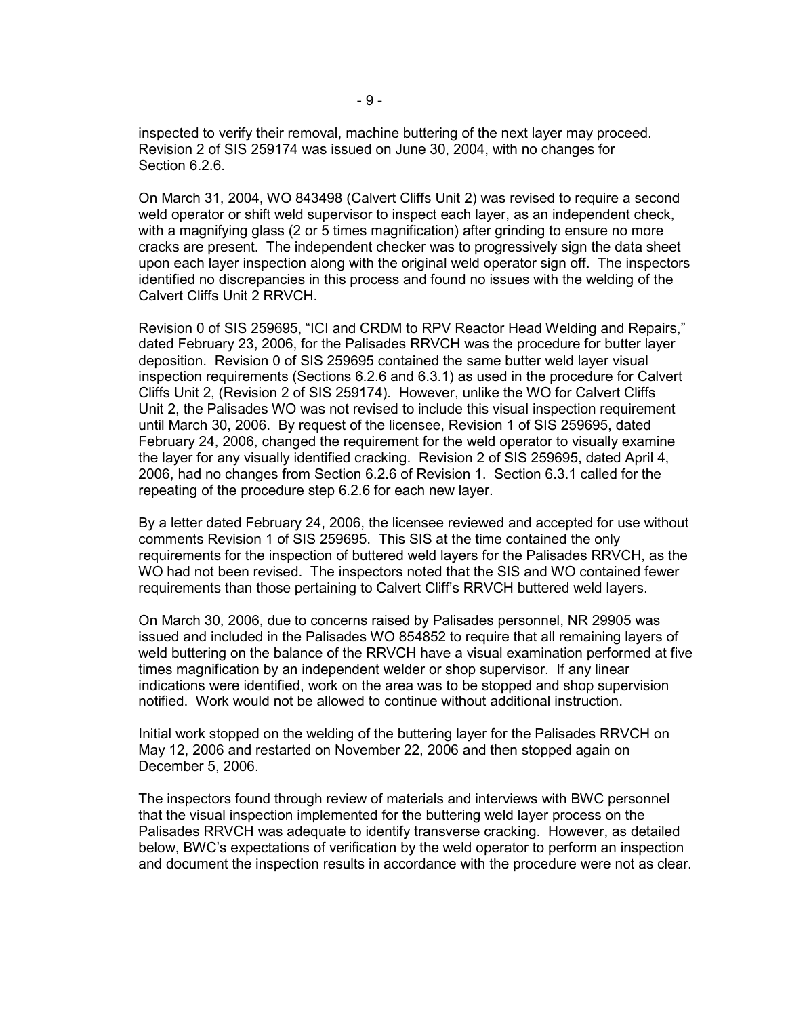inspected to verify their removal, machine buttering of the next layer may proceed. Revision 2 of SIS 259174 was issued on June 30, 2004, with no changes for Section 6.2.6.

On March 31, 2004, WO 843498 (Calvert Cliffs Unit 2) was revised to require a second weld operator or shift weld supervisor to inspect each layer, as an independent check, with a magnifying glass (2 or 5 times magnification) after grinding to ensure no more cracks are present. The independent checker was to progressively sign the data sheet upon each layer inspection along with the original weld operator sign off. The inspectors identified no discrepancies in this process and found no issues with the welding of the Calvert Cliffs Unit 2 RRVCH.

Revision 0 of SIS 259695, "ICI and CRDM to RPV Reactor Head Welding and Repairs," dated February 23, 2006, for the Palisades RRVCH was the procedure for butter layer deposition. Revision 0 of SIS 259695 contained the same butter weld layer visual inspection requirements (Sections 6.2.6 and 6.3.1) as used in the procedure for Calvert Cliffs Unit 2, (Revision 2 of SIS 259174). However, unlike the WO for Calvert Cliffs Unit 2, the Palisades WO was not revised to include this visual inspection requirement until March 30, 2006. By request of the licensee, Revision 1 of SIS 259695, dated February 24, 2006, changed the requirement for the weld operator to visually examine the layer for any visually identified cracking. Revision 2 of SIS 259695, dated April 4, 2006, had no changes from Section 6.2.6 of Revision 1. Section 6.3.1 called for the repeating of the procedure step 6.2.6 for each new layer.

By a letter dated February 24, 2006, the licensee reviewed and accepted for use without comments Revision 1 of SIS 259695. This SIS at the time contained the only requirements for the inspection of buttered weld layers for the Palisades RRVCH, as the WO had not been revised. The inspectors noted that the SIS and WO contained fewer requirements than those pertaining to Calvert Cliff's RRVCH buttered weld layers.

On March 30, 2006, due to concerns raised by Palisades personnel, NR 29905 was issued and included in the Palisades WO 854852 to require that all remaining layers of weld buttering on the balance of the RRVCH have a visual examination performed at five times magnification by an independent welder or shop supervisor. If any linear indications were identified, work on the area was to be stopped and shop supervision notified. Work would not be allowed to continue without additional instruction.

Initial work stopped on the welding of the buttering layer for the Palisades RRVCH on May 12, 2006 and restarted on November 22, 2006 and then stopped again on December 5, 2006.

The inspectors found through review of materials and interviews with BWC personnel that the visual inspection implemented for the buttering weld layer process on the Palisades RRVCH was adequate to identify transverse cracking. However, as detailed below, BWC's expectations of verification by the weld operator to perform an inspection and document the inspection results in accordance with the procedure were not as clear.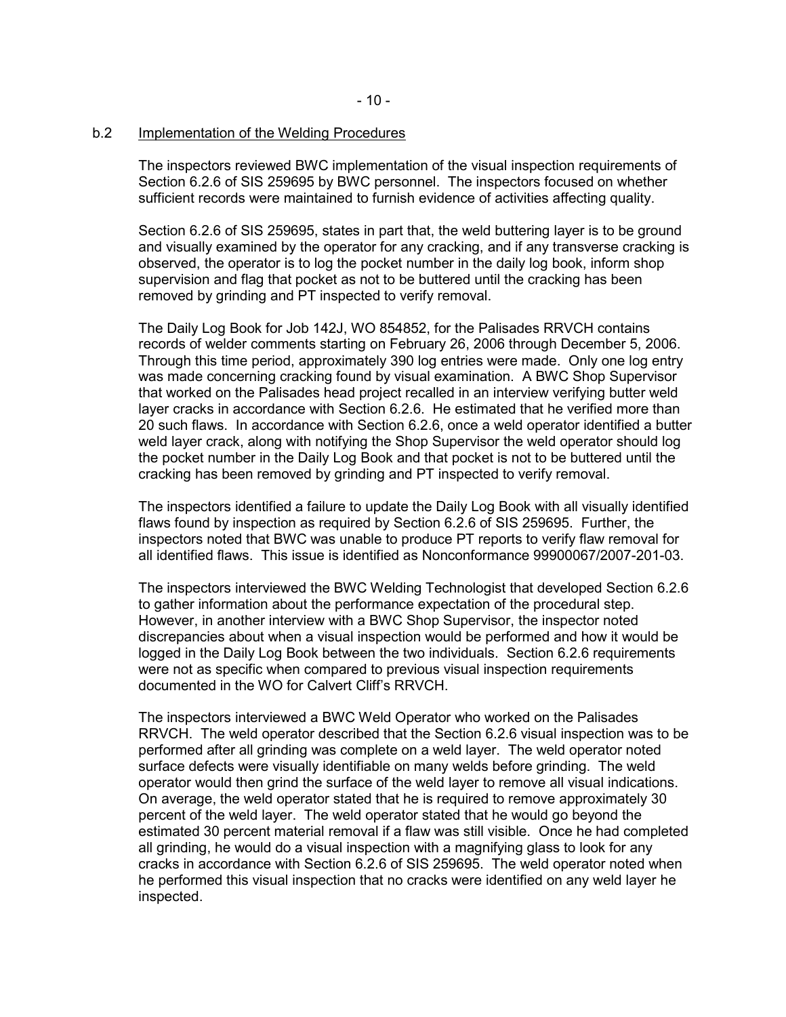# b.2 Implementation of the Welding Procedures

The inspectors reviewed BWC implementation of the visual inspection requirements of Section 6.2.6 of SIS 259695 by BWC personnel. The inspectors focused on whether sufficient records were maintained to furnish evidence of activities affecting quality.

Section 6.2.6 of SIS 259695, states in part that, the weld buttering layer is to be ground and visually examined by the operator for any cracking, and if any transverse cracking is observed, the operator is to log the pocket number in the daily log book, inform shop supervision and flag that pocket as not to be buttered until the cracking has been removed by grinding and PT inspected to verify removal.

The Daily Log Book for Job 142J, WO 854852, for the Palisades RRVCH contains records of welder comments starting on February 26, 2006 through December 5, 2006. Through this time period, approximately 390 log entries were made. Only one log entry was made concerning cracking found by visual examination. A BWC Shop Supervisor that worked on the Palisades head project recalled in an interview verifying butter weld layer cracks in accordance with Section 6.2.6. He estimated that he verified more than 20 such flaws. In accordance with Section 6.2.6, once a weld operator identified a butter weld layer crack, along with notifying the Shop Supervisor the weld operator should log the pocket number in the Daily Log Book and that pocket is not to be buttered until the cracking has been removed by grinding and PT inspected to verify removal.

The inspectors identified a failure to update the Daily Log Book with all visually identified flaws found by inspection as required by Section 6.2.6 of SIS 259695. Further, the inspectors noted that BWC was unable to produce PT reports to verify flaw removal for all identified flaws. This issue is identified as Nonconformance 99900067/2007-201-03.

The inspectors interviewed the BWC Welding Technologist that developed Section 6.2.6 to gather information about the performance expectation of the procedural step. However, in another interview with a BWC Shop Supervisor, the inspector noted discrepancies about when a visual inspection would be performed and how it would be logged in the Daily Log Book between the two individuals. Section 6.2.6 requirements were not as specific when compared to previous visual inspection requirements documented in the WO for Calvert Cliff's RRVCH.

The inspectors interviewed a BWC Weld Operator who worked on the Palisades RRVCH. The weld operator described that the Section 6.2.6 visual inspection was to be performed after all grinding was complete on a weld layer. The weld operator noted surface defects were visually identifiable on many welds before grinding. The weld operator would then grind the surface of the weld layer to remove all visual indications. On average, the weld operator stated that he is required to remove approximately 30 percent of the weld layer. The weld operator stated that he would go beyond the estimated 30 percent material removal if a flaw was still visible. Once he had completed all grinding, he would do a visual inspection with a magnifying glass to look for any cracks in accordance with Section 6.2.6 of SIS 259695. The weld operator noted when he performed this visual inspection that no cracks were identified on any weld layer he inspected.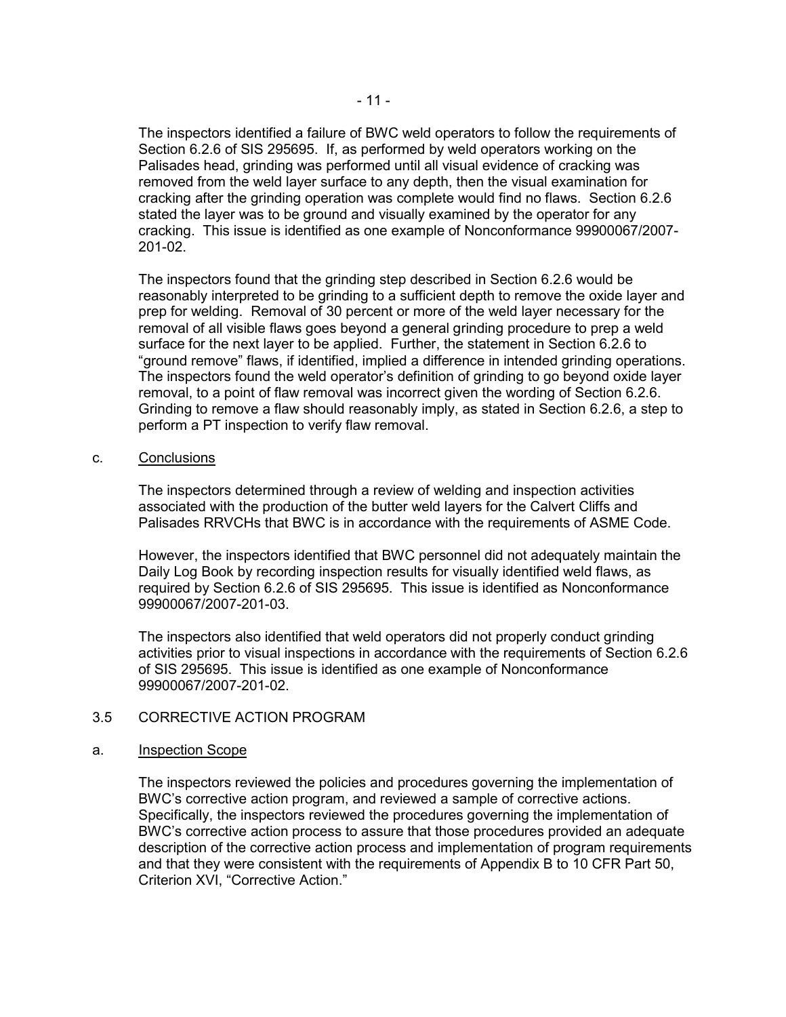The inspectors identified a failure of BWC weld operators to follow the requirements of Section 6.2.6 of SIS 295695. If, as performed by weld operators working on the Palisades head, grinding was performed until all visual evidence of cracking was removed from the weld layer surface to any depth, then the visual examination for cracking after the grinding operation was complete would find no flaws. Section 6.2.6 stated the layer was to be ground and visually examined by the operator for any cracking. This issue is identified as one example of Nonconformance 99900067/2007- 201-02.

The inspectors found that the grinding step described in Section 6.2.6 would be reasonably interpreted to be grinding to a sufficient depth to remove the oxide layer and prep for welding. Removal of 30 percent or more of the weld layer necessary for the removal of all visible flaws goes beyond a general grinding procedure to prep a weld surface for the next layer to be applied. Further, the statement in Section 6.2.6 to "ground remove" flaws, if identified, implied a difference in intended grinding operations. The inspectors found the weld operator's definition of grinding to go beyond oxide layer removal, to a point of flaw removal was incorrect given the wording of Section 6.2.6. Grinding to remove a flaw should reasonably imply, as stated in Section 6.2.6, a step to perform a PT inspection to verify flaw removal.

c. Conclusions

The inspectors determined through a review of welding and inspection activities associated with the production of the butter weld layers for the Calvert Cliffs and Palisades RRVCHs that BWC is in accordance with the requirements of ASME Code.

However, the inspectors identified that BWC personnel did not adequately maintain the Daily Log Book by recording inspection results for visually identified weld flaws, as required by Section 6.2.6 of SIS 295695. This issue is identified as Nonconformance 99900067/2007-201-03.

The inspectors also identified that weld operators did not properly conduct grinding activities prior to visual inspections in accordance with the requirements of Section 6.2.6 of SIS 295695. This issue is identified as one example of Nonconformance 99900067/2007-201-02.

## 3.5 CORRECTIVE ACTION PROGRAM

## a. Inspection Scope

The inspectors reviewed the policies and procedures governing the implementation of BWC's corrective action program, and reviewed a sample of corrective actions. Specifically, the inspectors reviewed the procedures governing the implementation of BWC's corrective action process to assure that those procedures provided an adequate description of the corrective action process and implementation of program requirements and that they were consistent with the requirements of Appendix B to 10 CFR Part 50, Criterion XVI, "Corrective Action."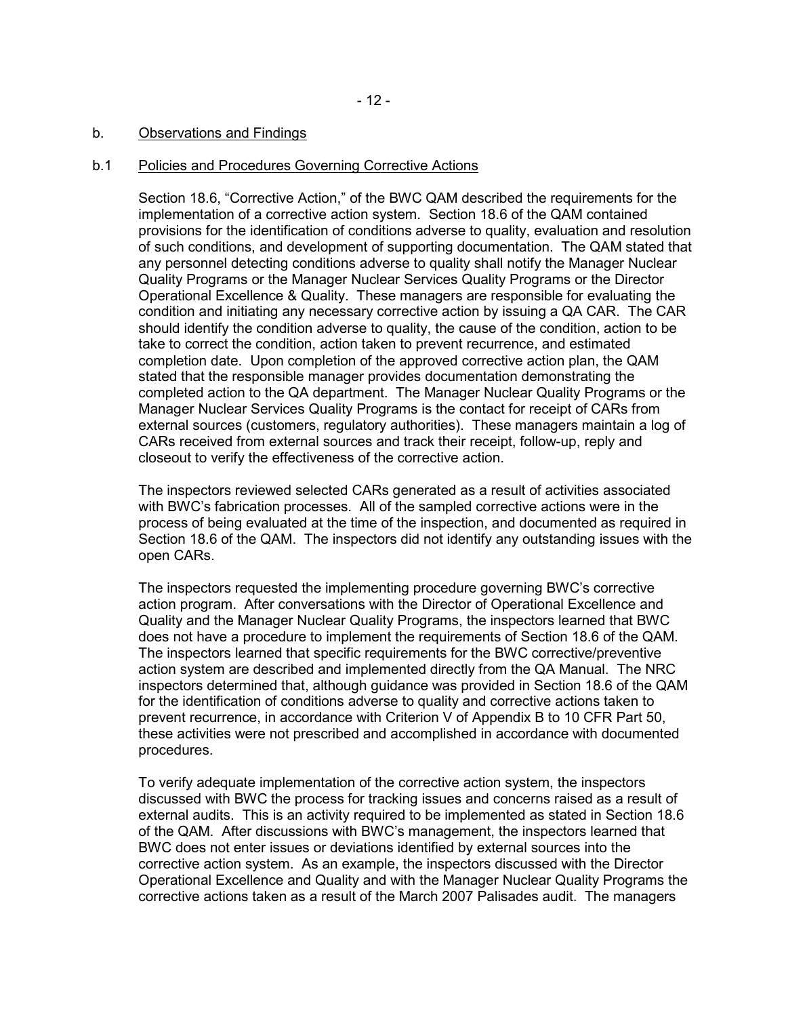## b. Observations and Findings

### b.1 Policies and Procedures Governing Corrective Actions

Section 18.6, "Corrective Action," of the BWC QAM described the requirements for the implementation of a corrective action system. Section 18.6 of the QAM contained provisions for the identification of conditions adverse to quality, evaluation and resolution of such conditions, and development of supporting documentation. The QAM stated that any personnel detecting conditions adverse to quality shall notify the Manager Nuclear Quality Programs or the Manager Nuclear Services Quality Programs or the Director Operational Excellence & Quality. These managers are responsible for evaluating the condition and initiating any necessary corrective action by issuing a QA CAR. The CAR should identify the condition adverse to quality, the cause of the condition, action to be take to correct the condition, action taken to prevent recurrence, and estimated completion date. Upon completion of the approved corrective action plan, the QAM stated that the responsible manager provides documentation demonstrating the completed action to the QA department. The Manager Nuclear Quality Programs or the Manager Nuclear Services Quality Programs is the contact for receipt of CARs from external sources (customers, regulatory authorities). These managers maintain a log of CARs received from external sources and track their receipt, follow-up, reply and closeout to verify the effectiveness of the corrective action.

The inspectors reviewed selected CARs generated as a result of activities associated with BWC's fabrication processes. All of the sampled corrective actions were in the process of being evaluated at the time of the inspection, and documented as required in Section 18.6 of the QAM. The inspectors did not identify any outstanding issues with the open CARs.

The inspectors requested the implementing procedure governing BWC's corrective action program. After conversations with the Director of Operational Excellence and Quality and the Manager Nuclear Quality Programs, the inspectors learned that BWC does not have a procedure to implement the requirements of Section 18.6 of the QAM. The inspectors learned that specific requirements for the BWC corrective/preventive action system are described and implemented directly from the QA Manual. The NRC inspectors determined that, although guidance was provided in Section 18.6 of the QAM for the identification of conditions adverse to quality and corrective actions taken to prevent recurrence, in accordance with Criterion V of Appendix B to 10 CFR Part 50, these activities were not prescribed and accomplished in accordance with documented procedures.

To verify adequate implementation of the corrective action system, the inspectors discussed with BWC the process for tracking issues and concerns raised as a result of external audits. This is an activity required to be implemented as stated in Section 18.6 of the QAM. After discussions with BWC's management, the inspectors learned that BWC does not enter issues or deviations identified by external sources into the corrective action system. As an example, the inspectors discussed with the Director Operational Excellence and Quality and with the Manager Nuclear Quality Programs the corrective actions taken as a result of the March 2007 Palisades audit. The managers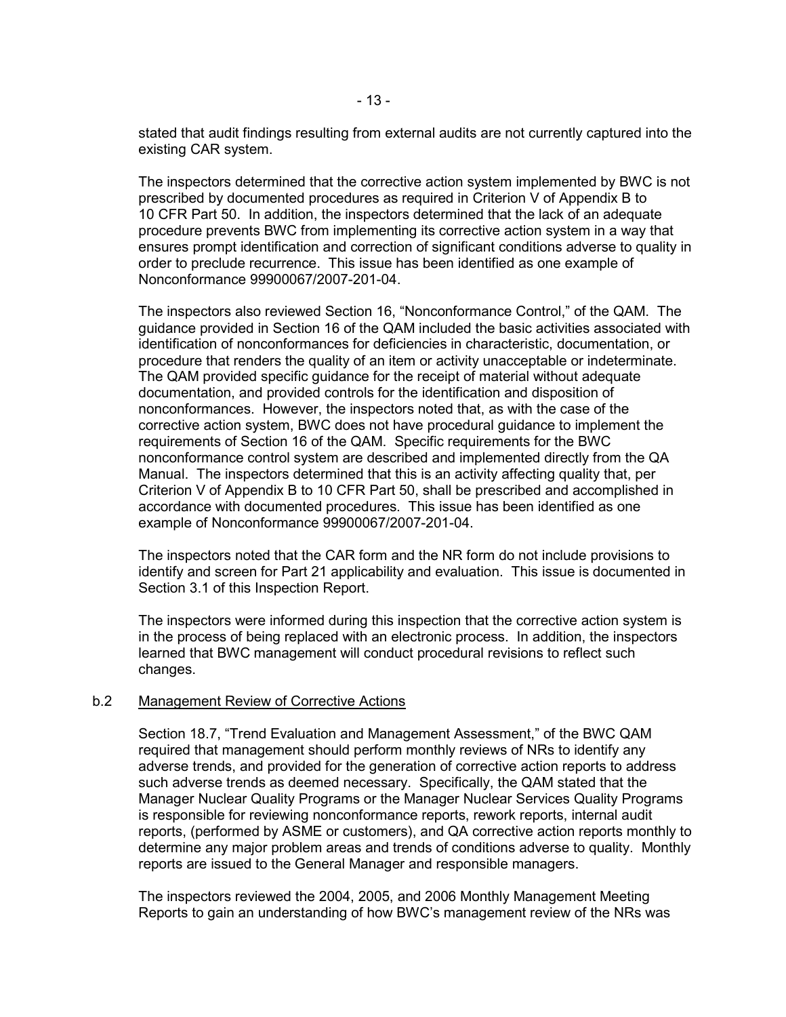stated that audit findings resulting from external audits are not currently captured into the existing CAR system.

The inspectors determined that the corrective action system implemented by BWC is not prescribed by documented procedures as required in Criterion V of Appendix B to 10 CFR Part 50. In addition, the inspectors determined that the lack of an adequate procedure prevents BWC from implementing its corrective action system in a way that ensures prompt identification and correction of significant conditions adverse to quality in order to preclude recurrence. This issue has been identified as one example of Nonconformance 99900067/2007-201-04.

The inspectors also reviewed Section 16, "Nonconformance Control," of the QAM. The guidance provided in Section 16 of the QAM included the basic activities associated with identification of nonconformances for deficiencies in characteristic, documentation, or procedure that renders the quality of an item or activity unacceptable or indeterminate. The QAM provided specific guidance for the receipt of material without adequate documentation, and provided controls for the identification and disposition of nonconformances. However, the inspectors noted that, as with the case of the corrective action system, BWC does not have procedural guidance to implement the requirements of Section 16 of the QAM. Specific requirements for the BWC nonconformance control system are described and implemented directly from the QA Manual. The inspectors determined that this is an activity affecting quality that, per Criterion V of Appendix B to 10 CFR Part 50, shall be prescribed and accomplished in accordance with documented procedures. This issue has been identified as one example of Nonconformance 99900067/2007-201-04.

The inspectors noted that the CAR form and the NR form do not include provisions to identify and screen for Part 21 applicability and evaluation. This issue is documented in Section 3.1 of this Inspection Report.

The inspectors were informed during this inspection that the corrective action system is in the process of being replaced with an electronic process. In addition, the inspectors learned that BWC management will conduct procedural revisions to reflect such changes.

#### b.2 Management Review of Corrective Actions

Section 18.7, "Trend Evaluation and Management Assessment," of the BWC QAM required that management should perform monthly reviews of NRs to identify any adverse trends, and provided for the generation of corrective action reports to address such adverse trends as deemed necessary. Specifically, the QAM stated that the Manager Nuclear Quality Programs or the Manager Nuclear Services Quality Programs is responsible for reviewing nonconformance reports, rework reports, internal audit reports, (performed by ASME or customers), and QA corrective action reports monthly to determine any major problem areas and trends of conditions adverse to quality. Monthly reports are issued to the General Manager and responsible managers.

The inspectors reviewed the 2004, 2005, and 2006 Monthly Management Meeting Reports to gain an understanding of how BWC's management review of the NRs was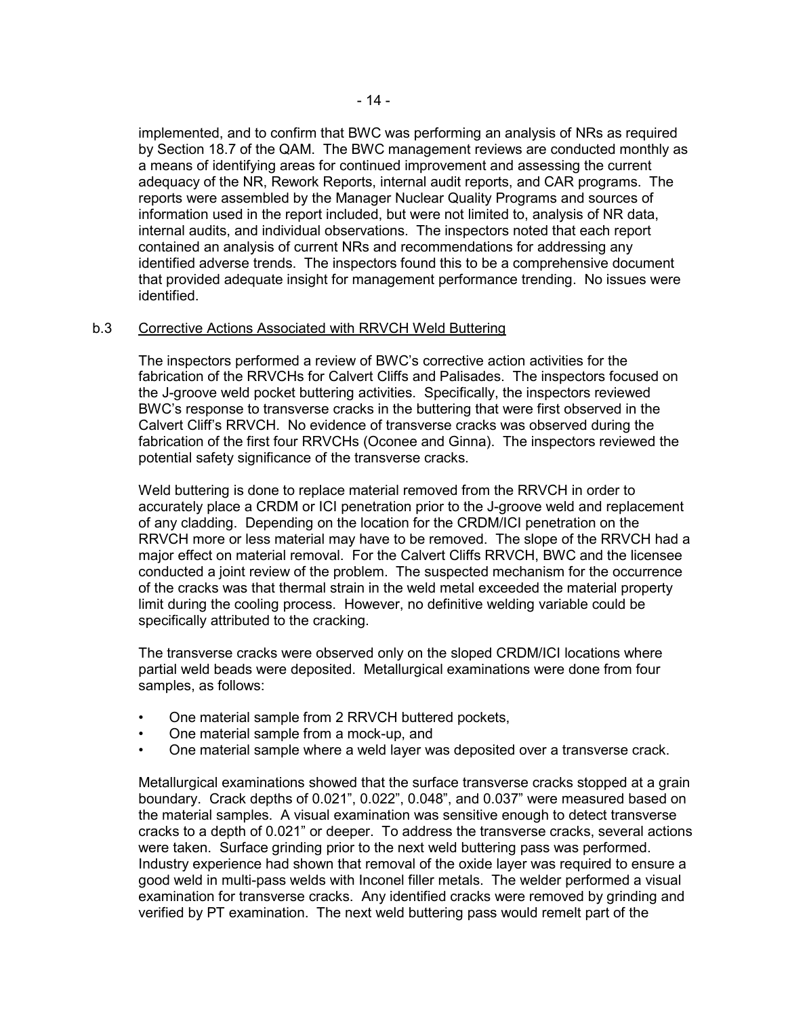implemented, and to confirm that BWC was performing an analysis of NRs as required by Section 18.7 of the QAM. The BWC management reviews are conducted monthly as a means of identifying areas for continued improvement and assessing the current adequacy of the NR, Rework Reports, internal audit reports, and CAR programs. The reports were assembled by the Manager Nuclear Quality Programs and sources of information used in the report included, but were not limited to, analysis of NR data, internal audits, and individual observations. The inspectors noted that each report contained an analysis of current NRs and recommendations for addressing any identified adverse trends. The inspectors found this to be a comprehensive document that provided adequate insight for management performance trending. No issues were identified.

## b.3 Corrective Actions Associated with RRVCH Weld Buttering

The inspectors performed a review of BWC's corrective action activities for the fabrication of the RRVCHs for Calvert Cliffs and Palisades. The inspectors focused on the J-groove weld pocket buttering activities. Specifically, the inspectors reviewed BWC's response to transverse cracks in the buttering that were first observed in the Calvert Cliff's RRVCH. No evidence of transverse cracks was observed during the fabrication of the first four RRVCHs (Oconee and Ginna). The inspectors reviewed the potential safety significance of the transverse cracks.

Weld buttering is done to replace material removed from the RRVCH in order to accurately place a CRDM or ICI penetration prior to the J-groove weld and replacement of any cladding. Depending on the location for the CRDM/ICI penetration on the RRVCH more or less material may have to be removed. The slope of the RRVCH had a major effect on material removal. For the Calvert Cliffs RRVCH, BWC and the licensee conducted a joint review of the problem. The suspected mechanism for the occurrence of the cracks was that thermal strain in the weld metal exceeded the material property limit during the cooling process. However, no definitive welding variable could be specifically attributed to the cracking.

The transverse cracks were observed only on the sloped CRDM/ICI locations where partial weld beads were deposited. Metallurgical examinations were done from four samples, as follows:

- One material sample from 2 RRVCH buttered pockets,
- One material sample from a mock-up, and
- One material sample where a weld layer was deposited over a transverse crack.

Metallurgical examinations showed that the surface transverse cracks stopped at a grain boundary. Crack depths of 0.021", 0.022", 0.048", and 0.037" were measured based on the material samples. A visual examination was sensitive enough to detect transverse cracks to a depth of 0.021" or deeper. To address the transverse cracks, several actions were taken. Surface grinding prior to the next weld buttering pass was performed. Industry experience had shown that removal of the oxide layer was required to ensure a good weld in multi-pass welds with Inconel filler metals. The welder performed a visual examination for transverse cracks. Any identified cracks were removed by grinding and verified by PT examination. The next weld buttering pass would remelt part of the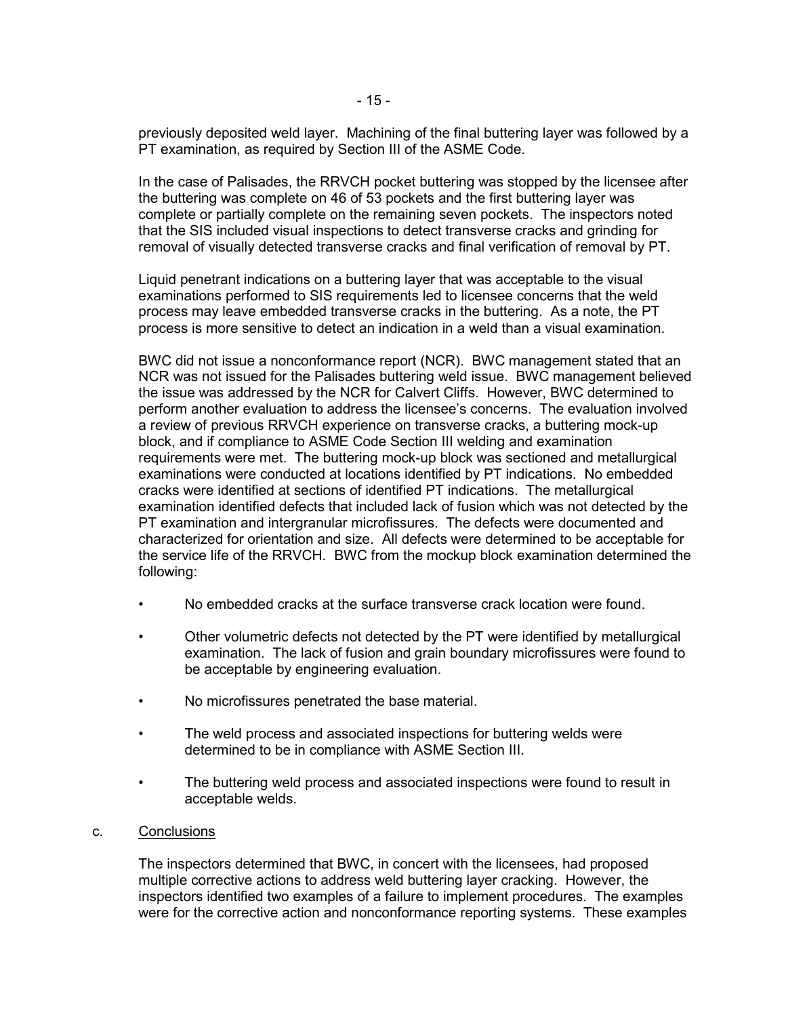previously deposited weld layer. Machining of the final buttering layer was followed by a PT examination, as required by Section III of the ASME Code.

In the case of Palisades, the RRVCH pocket buttering was stopped by the licensee after the buttering was complete on 46 of 53 pockets and the first buttering layer was complete or partially complete on the remaining seven pockets. The inspectors noted that the SIS included visual inspections to detect transverse cracks and grinding for removal of visually detected transverse cracks and final verification of removal by PT.

Liquid penetrant indications on a buttering layer that was acceptable to the visual examinations performed to SIS requirements led to licensee concerns that the weld process may leave embedded transverse cracks in the buttering. As a note, the PT process is more sensitive to detect an indication in a weld than a visual examination.

BWC did not issue a nonconformance report (NCR). BWC management stated that an NCR was not issued for the Palisades buttering weld issue. BWC management believed the issue was addressed by the NCR for Calvert Cliffs. However, BWC determined to perform another evaluation to address the licensee's concerns. The evaluation involved a review of previous RRVCH experience on transverse cracks, a buttering mock-up block, and if compliance to ASME Code Section III welding and examination requirements were met. The buttering mock-up block was sectioned and metallurgical examinations were conducted at locations identified by PT indications. No embedded cracks were identified at sections of identified PT indications. The metallurgical examination identified defects that included lack of fusion which was not detected by the PT examination and intergranular microfissures. The defects were documented and characterized for orientation and size. All defects were determined to be acceptable for the service life of the RRVCH. BWC from the mockup block examination determined the following:

- No embedded cracks at the surface transverse crack location were found.
- Other volumetric defects not detected by the PT were identified by metallurgical examination. The lack of fusion and grain boundary microfissures were found to be acceptable by engineering evaluation.
- No microfissures penetrated the base material.
- The weld process and associated inspections for buttering welds were determined to be in compliance with ASME Section III.
- The buttering weld process and associated inspections were found to result in acceptable welds.

#### c. Conclusions

The inspectors determined that BWC, in concert with the licensees, had proposed multiple corrective actions to address weld buttering layer cracking. However, the inspectors identified two examples of a failure to implement procedures. The examples were for the corrective action and nonconformance reporting systems. These examples